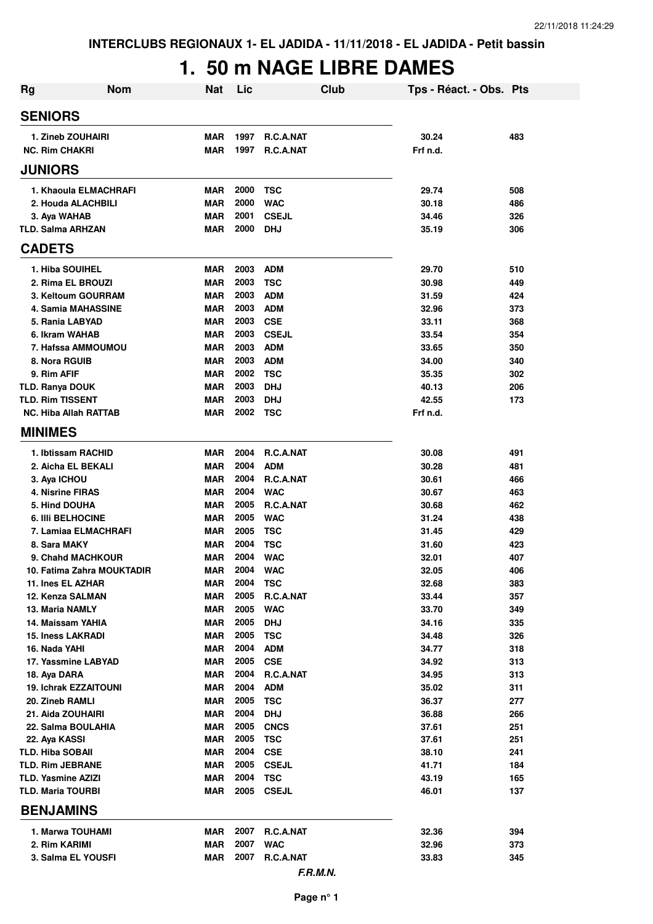## **1. 50 m NAGE LIBRE DAMES**

| <b>Nom</b><br><b>Rg</b>                       | <b>Nat</b>               | Lic          |                          | <b>Club</b> | Tps - Réact. - Obs. Pts |            |
|-----------------------------------------------|--------------------------|--------------|--------------------------|-------------|-------------------------|------------|
| <b>SENIORS</b>                                |                          |              |                          |             |                         |            |
| 1. Zineb ZOUHAIRI                             | <b>MAR</b>               | 1997         | <b>R.C.A.NAT</b>         |             | 30.24                   | 483        |
| <b>NC. Rim CHAKRI</b>                         | <b>MAR</b>               | 1997         | <b>R.C.A.NAT</b>         |             | Frf n.d.                |            |
| <b>JUNIORS</b>                                |                          |              |                          |             |                         |            |
| 1. Khaoula ELMACHRAFI                         | <b>MAR</b>               | 2000         | <b>TSC</b>               |             | 29.74                   | 508        |
| 2. Houda ALACHBILI                            | <b>MAR</b>               | 2000         | <b>WAC</b>               |             | 30.18                   | 486        |
| 3. Aya WAHAB                                  | <b>MAR</b>               | 2001         | <b>CSEJL</b>             |             | 34.46                   | 326        |
| <b>TLD. Salma ARHZAN</b>                      | <b>MAR</b>               | 2000         | <b>DHJ</b>               |             | 35.19                   | 306        |
| <b>CADETS</b>                                 |                          |              |                          |             |                         |            |
| 1. Hiba SOUIHEL                               | <b>MAR</b>               | 2003         | <b>ADM</b>               |             | 29.70                   | 510        |
| 2. Rima EL BROUZI                             | <b>MAR</b>               | 2003         | <b>TSC</b>               |             | 30.98                   | 449        |
| 3. Keltoum GOURRAM                            | <b>MAR</b>               | 2003         | <b>ADM</b>               |             | 31.59                   | 424        |
| 4. Samia MAHASSINE                            | <b>MAR</b>               | 2003         | <b>ADM</b>               |             | 32.96                   | 373        |
| 5. Rania LABYAD                               | <b>MAR</b>               | 2003         | <b>CSE</b>               |             | 33.11                   | 368        |
| 6. Ikram WAHAB                                | <b>MAR</b>               | 2003         | <b>CSEJL</b>             |             | 33.54                   | 354        |
| 7. Hafssa AMMOUMOU                            | <b>MAR</b>               | 2003         | <b>ADM</b>               |             | 33.65                   | 350        |
| 8. Nora RGUIB                                 | <b>MAR</b>               | 2003         | <b>ADM</b>               |             | 34.00                   | 340        |
| 9. Rim AFIF                                   | <b>MAR</b>               | 2002         | <b>TSC</b>               |             | 35.35                   | 302        |
| <b>TLD. Ranya DOUK</b>                        | <b>MAR</b>               | 2003         | <b>DHJ</b>               |             | 40.13                   | 206        |
| <b>TLD. Rim TISSENT</b>                       | <b>MAR</b>               | 2003         | <b>DHJ</b>               |             | 42.55                   | 173        |
| <b>NC. Hiba Allah RATTAB</b>                  | <b>MAR</b>               | 2002         | <b>TSC</b>               |             | Frf n.d.                |            |
| <b>MINIMES</b>                                |                          |              |                          |             |                         |            |
| 1. Ibtissam RACHID                            | <b>MAR</b>               | 2004         | <b>R.C.A.NAT</b>         |             | 30.08                   | 491        |
| 2. Aicha EL BEKALI                            | <b>MAR</b>               | 2004         | <b>ADM</b>               |             | 30.28                   | 481        |
| 3. Aya ICHOU                                  | <b>MAR</b>               | 2004         | R.C.A.NAT                |             | 30.61                   | 466        |
| 4. Nisrine FIRAS                              | <b>MAR</b>               | 2004         | <b>WAC</b>               |             | 30.67                   | 463        |
| <b>5. Hind DOUHA</b>                          | <b>MAR</b>               | 2005         | R.C.A.NAT                |             | 30.68                   | 462        |
| <b>6. IIII BELHOCINE</b>                      | <b>MAR</b>               | 2005         | <b>WAC</b>               |             | 31.24                   | 438        |
| 7. Lamiaa ELMACHRAFI                          | <b>MAR</b>               | 2005         | <b>TSC</b>               |             | 31.45                   | 429        |
| 8. Sara MAKY                                  | <b>MAR</b>               | 2004         | <b>TSC</b>               |             | 31.60                   | 423        |
| 9. Chahd MACHKOUR                             | <b>MAR</b>               | 2004         | <b>WAC</b>               |             | 32.01                   | 407        |
| 10. Fatima Zahra MOUKTADIR                    | <b>MAR</b>               | 2004         | <b>WAC</b>               |             | 32.05                   | 406        |
| 11. Ines EL AZHAR                             | MAR                      | 2004         | <b>TSC</b>               |             | 32.68                   | 383        |
| 12. Kenza SALMAN                              | <b>MAR</b>               | 2005         | R.C.A.NAT                |             | 33.44                   | 357        |
| <b>13. Maria NAMLY</b>                        | <b>MAR</b>               | 2005<br>2005 | <b>WAC</b>               |             | 33.70                   | 349        |
| 14. Maissam YAHIA<br><b>15. Iness LAKRADI</b> | <b>MAR</b><br><b>MAR</b> | 2005         | <b>DHJ</b><br><b>TSC</b> |             | 34.16<br>34.48          | 335<br>326 |
| 16. Nada YAHI                                 | <b>MAR</b>               | 2004         | <b>ADM</b>               |             | 34.77                   | 318        |
| 17. Yassmine LABYAD                           | <b>MAR</b>               | 2005         | <b>CSE</b>               |             | 34.92                   | 313        |
| 18. Aya DARA                                  | <b>MAR</b>               | 2004         | R.C.A.NAT                |             | 34.95                   | 313        |
| 19. Ichrak EZZAITOUNI                         | <b>MAR</b>               | 2004         | <b>ADM</b>               |             | 35.02                   | 311        |
| 20. Zineb RAMLI                               | <b>MAR</b>               | 2005         | <b>TSC</b>               |             | 36.37                   | 277        |
| 21. Aida ZOUHAIRI                             | <b>MAR</b>               | 2004         | <b>DHJ</b>               |             | 36.88                   | 266        |
| 22. Salma BOULAHIA                            | <b>MAR</b>               | 2005         | <b>CNCS</b>              |             | 37.61                   | 251        |
| 22. Aya KASSI                                 | <b>MAR</b>               | 2005         | <b>TSC</b>               |             | 37.61                   | 251        |
| TLD. Hiba SOBAII                              | <b>MAR</b>               | 2004         | <b>CSE</b>               |             | 38.10                   | 241        |
| <b>TLD. Rim JEBRANE</b>                       | <b>MAR</b>               | 2005         | <b>CSEJL</b>             |             | 41.71                   | 184        |
| <b>TLD. Yasmine AZIZI</b>                     | <b>MAR</b>               | 2004         | <b>TSC</b>               |             | 43.19                   | 165        |
| <b>TLD. Maria TOURBI</b>                      | <b>MAR</b>               | 2005         | <b>CSEJL</b>             |             | 46.01                   | 137        |
| <b>BENJAMINS</b>                              |                          |              |                          |             |                         |            |
| 1. Marwa TOUHAMI                              | <b>MAR</b>               | 2007         | R.C.A.NAT                |             | 32.36                   | 394        |
| 2. Rim KARIMI                                 | <b>MAR</b>               | 2007         | <b>WAC</b>               |             | 32.96                   | 373        |
| 3. Salma EL YOUSFI                            | <b>MAR</b>               | 2007         | R.C.A.NAT                |             | 33.83                   | 345        |
|                                               |                          |              |                          | F.R.M.N.    |                         |            |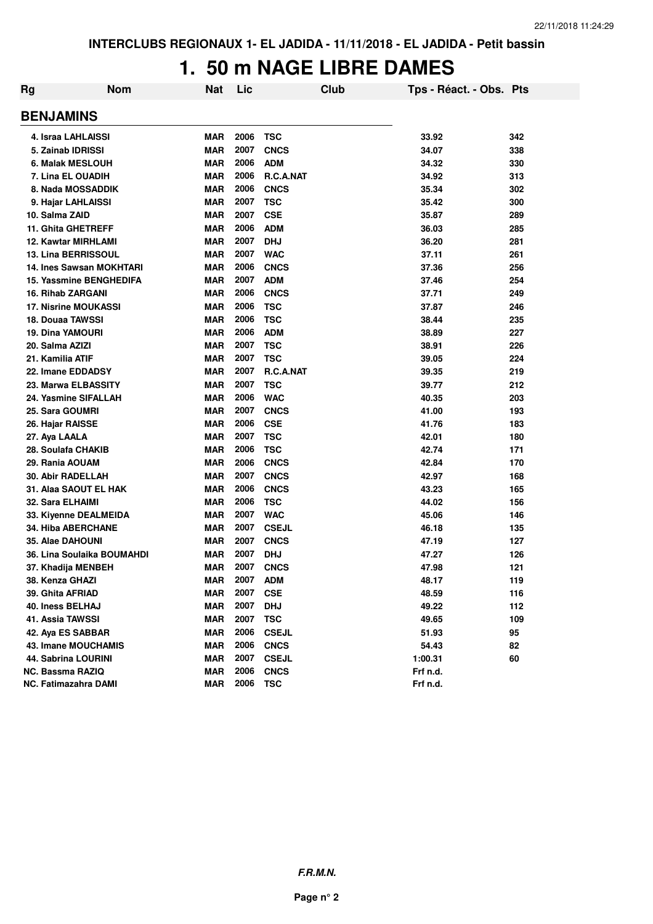#### **1. 50 m NAGE LIBRE DAMES**

| Rg | <b>Nom</b>                     | Nat        | Lic  | Club         | Tps - Réact. - Obs. Pts |     |
|----|--------------------------------|------------|------|--------------|-------------------------|-----|
|    | <b>BENJAMINS</b>               |            |      |              |                         |     |
|    | 4. Israa LAHLAISSI             | <b>MAR</b> | 2006 | <b>TSC</b>   | 33.92                   | 342 |
|    | 5. Zainab IDRISSI              | <b>MAR</b> | 2007 | <b>CNCS</b>  | 34.07                   | 338 |
|    | 6. Malak MESLOUH               | <b>MAR</b> | 2006 | <b>ADM</b>   | 34.32                   | 330 |
|    | 7. Lina EL OUADIH              | <b>MAR</b> | 2006 | R.C.A.NAT    | 34.92                   | 313 |
|    | 8. Nada MOSSADDIK              | <b>MAR</b> | 2006 | <b>CNCS</b>  | 35.34                   | 302 |
|    | 9. Hajar LAHLAISSI             | <b>MAR</b> | 2007 | <b>TSC</b>   | 35.42                   | 300 |
|    | 10. Salma ZAID                 | <b>MAR</b> | 2007 | <b>CSE</b>   | 35.87                   | 289 |
|    | <b>11. Ghita GHETREFF</b>      | <b>MAR</b> | 2006 | <b>ADM</b>   | 36.03                   | 285 |
|    | <b>12. Kawtar MIRHLAMI</b>     | <b>MAR</b> | 2007 | <b>DHJ</b>   | 36.20                   | 281 |
|    | <b>13. Lina BERRISSOUL</b>     | <b>MAR</b> | 2007 | <b>WAC</b>   | 37.11                   | 261 |
|    | 14. Ines Sawsan MOKHTARI       | <b>MAR</b> | 2006 | <b>CNCS</b>  | 37.36                   | 256 |
|    | <b>15. Yassmine BENGHEDIFA</b> | <b>MAR</b> | 2007 | <b>ADM</b>   | 37.46                   | 254 |
|    | <b>16. Rihab ZARGANI</b>       | <b>MAR</b> | 2006 | <b>CNCS</b>  | 37.71                   | 249 |
|    | <b>17. Nisrine MOUKASSI</b>    | <b>MAR</b> | 2006 | <b>TSC</b>   | 37.87                   | 246 |
|    | 18. Douaa TAWSSI               | <b>MAR</b> | 2006 | <b>TSC</b>   | 38.44                   | 235 |
|    | <b>19. Dina YAMOURI</b>        | <b>MAR</b> | 2006 | <b>ADM</b>   | 38.89                   | 227 |
|    | 20. Salma AZIZI                | <b>MAR</b> | 2007 | <b>TSC</b>   | 38.91                   | 226 |
|    | 21. Kamilia ATIF               | <b>MAR</b> | 2007 | <b>TSC</b>   | 39.05                   | 224 |
|    | 22. Imane EDDADSY              | <b>MAR</b> | 2007 | R.C.A.NAT    | 39.35                   | 219 |
|    | 23. Marwa ELBASSITY            | <b>MAR</b> | 2007 | <b>TSC</b>   | 39.77                   | 212 |
|    | 24. Yasmine SIFALLAH           | <b>MAR</b> | 2006 | <b>WAC</b>   | 40.35                   | 203 |
|    | 25. Sara GOUMRI                | <b>MAR</b> | 2007 | <b>CNCS</b>  | 41.00                   | 193 |
|    | 26. Hajar RAISSE               | <b>MAR</b> | 2006 | <b>CSE</b>   | 41.76                   | 183 |
|    | 27. Aya LAALA                  | <b>MAR</b> | 2007 | <b>TSC</b>   | 42.01                   | 180 |
|    | 28. Soulafa CHAKIB             | <b>MAR</b> | 2006 | <b>TSC</b>   | 42.74                   | 171 |
|    | 29. Rania AOUAM                | <b>MAR</b> | 2006 | <b>CNCS</b>  | 42.84                   | 170 |
|    | 30. Abir RADELLAH              | <b>MAR</b> | 2007 | <b>CNCS</b>  | 42.97                   | 168 |
|    | 31. Alaa SAOUT EL HAK          | <b>MAR</b> | 2006 | <b>CNCS</b>  | 43.23                   | 165 |
|    | 32. Sara ELHAIMI               | <b>MAR</b> | 2006 | <b>TSC</b>   | 44.02                   | 156 |
|    | 33. Kiyenne DEALMEIDA          | <b>MAR</b> | 2007 | <b>WAC</b>   | 45.06                   | 146 |
|    | 34. Hiba ABERCHANE             | <b>MAR</b> | 2007 | <b>CSEJL</b> | 46.18                   | 135 |
|    | 35. Alae DAHOUNI               | <b>MAR</b> | 2007 | <b>CNCS</b>  | 47.19                   | 127 |
|    | 36. Lina Soulaika BOUMAHDI     | <b>MAR</b> | 2007 | <b>DHJ</b>   | 47.27                   | 126 |
|    | 37. Khadija MENBEH             | <b>MAR</b> | 2007 | <b>CNCS</b>  | 47.98                   | 121 |
|    | 38. Kenza GHAZI                | <b>MAR</b> | 2007 | <b>ADM</b>   | 48.17                   | 119 |
|    | 39. Ghita AFRIAD               | <b>MAR</b> | 2007 | <b>CSE</b>   | 48.59                   | 116 |
|    | 40. Iness BELHAJ               | <b>MAR</b> | 2007 | <b>DHJ</b>   | 49.22                   | 112 |
|    | 41. Assia TAWSSI               | <b>MAR</b> | 2007 | <b>TSC</b>   | 49.65                   | 109 |
|    | 42. Aya ES SABBAR              | <b>MAR</b> | 2006 | <b>CSEJL</b> | 51.93                   | 95  |
|    | 43. Imane MOUCHAMIS            | <b>MAR</b> | 2006 | <b>CNCS</b>  | 54.43                   | 82  |
|    | <b>44. Sabrina LOURINI</b>     | <b>MAR</b> | 2007 | <b>CSEJL</b> | 1:00.31                 | 60  |
|    | <b>NC. Bassma RAZIQ</b>        | <b>MAR</b> | 2006 | <b>CNCS</b>  | Frf n.d.                |     |
|    | <b>NC. Fatimazahra DAMI</b>    | <b>MAR</b> | 2006 | <b>TSC</b>   | Frf n.d.                |     |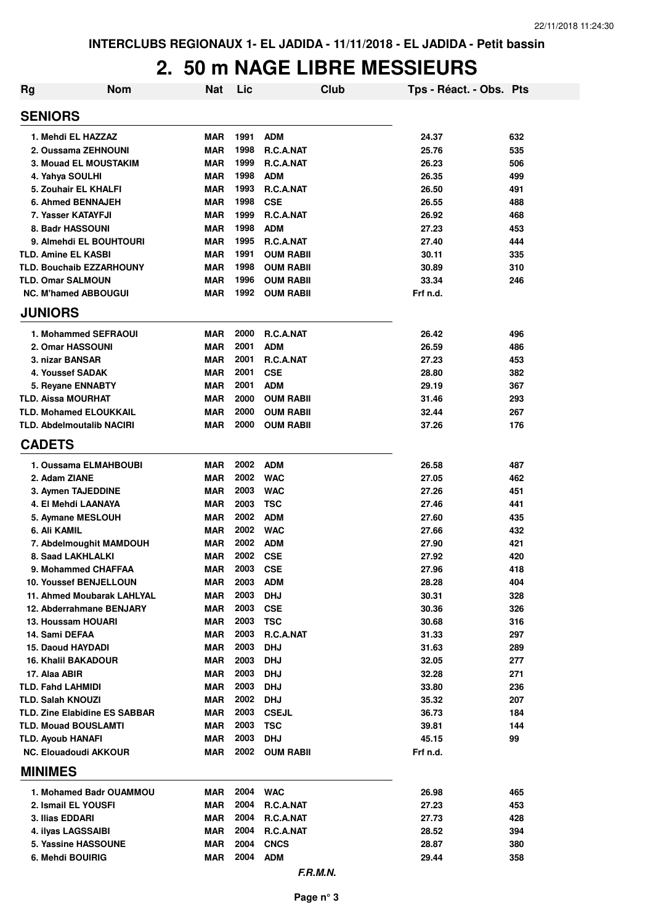| <b>Rg</b>                                 | <b>Nom</b>                                | <b>Nat</b>               | Lic          | Club                                 | Tps - Réact. - Obs. Pts |            |
|-------------------------------------------|-------------------------------------------|--------------------------|--------------|--------------------------------------|-------------------------|------------|
| <b>SENIORS</b>                            |                                           |                          |              |                                      |                         |            |
|                                           | 1. Mehdi EL HAZZAZ                        | <b>MAR</b>               | 1991         | <b>ADM</b>                           | 24.37                   | 632        |
|                                           | 2. Oussama ZEHNOUNI                       | <b>MAR</b>               | 1998         | <b>R.C.A.NAT</b>                     | 25.76                   | 535        |
|                                           | <b>3. Mouad EL MOUSTAKIM</b>              | <b>MAR</b>               | 1999         | <b>R.C.A.NAT</b>                     | 26.23                   | 506        |
| 4. Yahya SOULHI                           |                                           | <b>MAR</b>               | 1998         | <b>ADM</b>                           | 26.35                   | 499        |
|                                           | 5. Zouhair EL KHALFI                      | <b>MAR</b>               | 1993         | <b>R.C.A.NAT</b>                     | 26.50                   | 491        |
|                                           | 6. Ahmed BENNAJEH                         | <b>MAR</b>               | 1998         | <b>CSE</b>                           | 26.55                   | 488        |
|                                           | 7. Yasser KATAYFJI                        | <b>MAR</b>               | 1999         | R.C.A.NAT                            | 26.92                   | 468        |
|                                           | 8. Badr HASSOUNI                          | <b>MAR</b>               | 1998         | <b>ADM</b>                           | 27.23                   | 453        |
|                                           | 9. Almehdi EL BOUHTOURI                   | <b>MAR</b>               | 1995         | R.C.A.NAT                            | 27.40                   | 444        |
| TLD. Amine EL KASBI                       | <b>TLD. Bouchaib EZZARHOUNY</b>           | <b>MAR</b><br><b>MAR</b> | 1991<br>1998 | <b>OUM RABII</b><br><b>OUM RABII</b> | 30.11<br>30.89          | 335<br>310 |
| <b>TLD. Omar SALMOUN</b>                  |                                           | <b>MAR</b>               | 1996         | <b>OUM RABII</b>                     | 33.34                   | 246        |
|                                           | <b>NC. M'hamed ABBOUGUI</b>               | <b>MAR</b>               | 1992         | <b>OUM RABII</b>                     | Frf n.d.                |            |
| <b>JUNIORS</b>                            |                                           |                          |              |                                      |                         |            |
|                                           | 1. Mohammed SEFRAOUI                      | <b>MAR</b>               | 2000         | <b>R.C.A.NAT</b>                     | 26.42                   | 496        |
|                                           | 2. Omar HASSOUNI                          | <b>MAR</b>               | 2001         | <b>ADM</b>                           | 26.59                   | 486        |
| 3. nizar BANSAR                           |                                           | <b>MAR</b>               | 2001         | <b>R.C.A.NAT</b>                     | 27.23                   | 453        |
|                                           | 4. Youssef SADAK                          | <b>MAR</b>               | 2001         | <b>CSE</b>                           | 28.80                   | 382        |
|                                           | 5. Revane ENNABTY                         | <b>MAR</b>               | 2001         | <b>ADM</b>                           | 29.19                   | 367        |
| <b>TLD. Aissa MOURHAT</b>                 |                                           | <b>MAR</b>               | 2000         | <b>OUM RABII</b>                     | 31.46                   | 293        |
|                                           | <b>TLD. Mohamed ELOUKKAIL</b>             | <b>MAR</b>               | 2000         | <b>OUM RABII</b>                     | 32.44                   | 267        |
|                                           | <b>TLD. Abdelmoutalib NACIRI</b>          | <b>MAR</b>               | 2000         | <b>OUM RABII</b>                     | 37.26                   | 176        |
| <b>CADETS</b>                             |                                           |                          |              |                                      |                         |            |
|                                           | 1. Oussama ELMAHBOUBI                     | <b>MAR</b>               | 2002         | <b>ADM</b>                           | 26.58                   | 487        |
| 2. Adam ZIANE                             |                                           | <b>MAR</b>               | 2002         | <b>WAC</b>                           | 27.05                   | 462        |
|                                           | 3. Aymen TAJEDDINE<br>4. El Mehdi LAANAYA | <b>MAR</b><br><b>MAR</b> | 2003<br>2003 | <b>WAC</b><br><b>TSC</b>             | 27.26<br>27.46          | 451<br>441 |
|                                           | 5. Aymane MESLOUH                         | <b>MAR</b>               | 2002         | <b>ADM</b>                           | 27.60                   | 435        |
| 6. Ali KAMIL                              |                                           | <b>MAR</b>               | 2002         | <b>WAC</b>                           | 27.66                   | 432        |
|                                           | 7. Abdelmoughit MAMDOUH                   | <b>MAR</b>               | 2002         | <b>ADM</b>                           | 27.90                   | 421        |
|                                           | 8. Saad LAKHLALKI                         | <b>MAR</b>               | 2002         | <b>CSE</b>                           | 27.92                   | 420        |
|                                           | 9. Mohammed CHAFFAA                       | <b>MAR</b>               | 2003         | <b>CSE</b>                           | 27.96                   | 418        |
|                                           | <b>10. Youssef BENJELLOUN</b>             | MAR                      | 2003         | <b>ADM</b>                           | 28.28                   | 404        |
|                                           | 11. Ahmed Moubarak LAHLYAL                | <b>MAR</b>               | 2003         | <b>DHJ</b>                           | 30.31                   | 328        |
|                                           | 12. Abderrahmane BENJARY                  | <b>MAR</b>               | 2003         | <b>CSE</b>                           | 30.36                   | 326        |
|                                           | 13. Houssam HOUARI                        | <b>MAR</b>               | 2003         | <b>TSC</b>                           | 30.68                   | 316        |
| 14. Sami DEFAA                            |                                           | <b>MAR</b>               | 2003         | R.C.A.NAT                            | 31.33                   | 297        |
| <b>15. Daoud HAYDADI</b>                  |                                           | <b>MAR</b>               | 2003         | <b>DHJ</b>                           | 31.63                   | 289        |
|                                           | <b>16. Khalil BAKADOUR</b>                | <b>MAR</b>               | 2003         | <b>DHJ</b>                           | 32.05                   | 277        |
| 17. Alaa ABIR<br><b>TLD. Fahd LAHMIDI</b> |                                           | <b>MAR</b><br><b>MAR</b> | 2003<br>2003 | <b>DHJ</b><br><b>DHJ</b>             | 32.28<br>33.80          | 271<br>236 |
| <b>TLD. Salah KNOUZI</b>                  |                                           | <b>MAR</b>               | 2002         | <b>DHJ</b>                           | 35.32                   | 207        |
|                                           | <b>TLD. Zine Elabidine ES SABBAR</b>      | <b>MAR</b>               | 2003         | <b>CSEJL</b>                         | 36.73                   | 184        |
|                                           | <b>TLD. Mouad BOUSLAMTI</b>               | <b>MAR</b>               | 2003         | <b>TSC</b>                           | 39.81                   | 144        |
| <b>TLD. Ayoub HANAFI</b>                  |                                           | <b>MAR</b>               | 2003         | <b>DHJ</b>                           | 45.15                   | 99         |
|                                           | <b>NC. Elouadoudi AKKOUR</b>              | MAR                      | 2002         | <b>OUM RABII</b>                     | Frf n.d.                |            |
| <b>MINIMES</b>                            |                                           |                          |              |                                      |                         |            |
|                                           | 1. Mohamed Badr OUAMMOU                   | MAR                      | 2004         | <b>WAC</b>                           | 26.98                   | 465        |
|                                           | 2. Ismail EL YOUSFI                       | <b>MAR</b>               | 2004         | R.C.A.NAT                            | 27.23                   | 453        |
| 3. Ilias EDDARI                           |                                           | <b>MAR</b>               | 2004         | R.C.A.NAT                            | 27.73                   | 428        |
|                                           | 4. ilyas LAGSSAIBI                        | <b>MAR</b>               | 2004         | R.C.A.NAT                            | 28.52                   | 394        |
|                                           | 5. Yassine HASSOUNE                       | <b>MAR</b>               | 2004         | <b>CNCS</b>                          | 28.87                   | 380        |
|                                           | 6. Mehdi BOUIRIG                          | MAR                      | 2004         | <b>ADM</b>                           | 29.44                   | 358        |
|                                           |                                           |                          |              | F.R.M.N.                             |                         |            |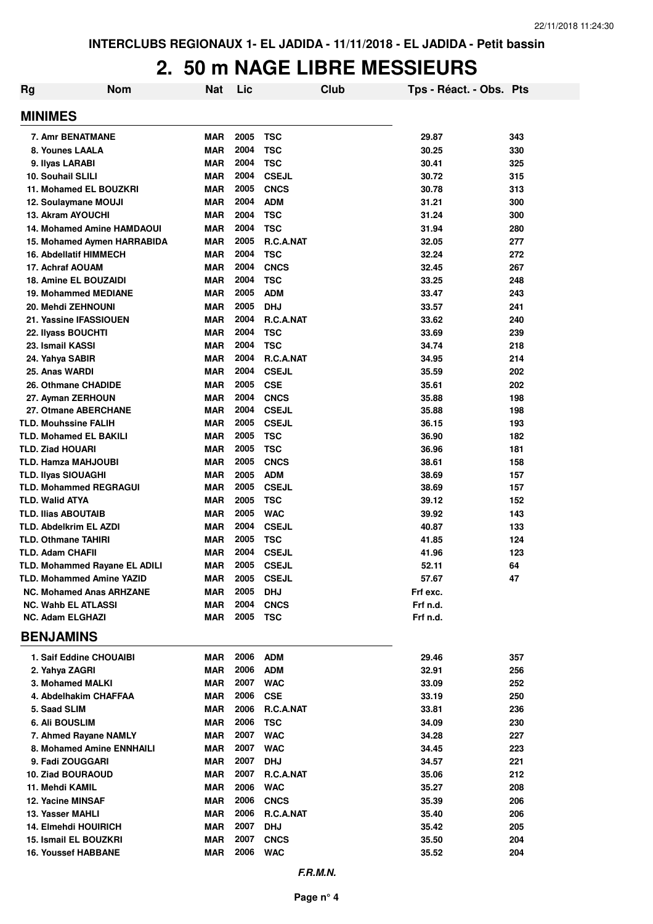| Rg | <b>Nom</b>                             | <b>Nat</b>               | Lic          |                          | Club | Tps - Réact. - Obs. Pts |            |
|----|----------------------------------------|--------------------------|--------------|--------------------------|------|-------------------------|------------|
|    | <b>MINIMES</b>                         |                          |              |                          |      |                         |            |
|    | 7. Amr BENATMANE                       | <b>MAR</b>               | 2005         | <b>TSC</b>               |      | 29.87                   | 343        |
|    | 8. Younes LAALA                        | <b>MAR</b>               | 2004         | <b>TSC</b>               |      | 30.25                   | 330        |
|    | 9. Ilyas LARABI                        | <b>MAR</b>               | 2004         | <b>TSC</b>               |      | 30.41                   | 325        |
|    | 10. Souhail SLILI                      | <b>MAR</b>               | 2004         | <b>CSEJL</b>             |      | 30.72                   | 315        |
|    | 11. Mohamed EL BOUZKRI                 | <b>MAR</b>               | 2005         | <b>CNCS</b>              |      | 30.78                   | 313        |
|    | 12. Soulaymane MOUJI                   | <b>MAR</b>               | 2004         | <b>ADM</b>               |      | 31.21                   | 300        |
|    | 13. Akram AYOUCHI                      | <b>MAR</b>               | 2004         | <b>TSC</b>               |      | 31.24                   | 300        |
|    | <b>14. Mohamed Amine HAMDAOUI</b>      | <b>MAR</b>               | 2004         | <b>TSC</b>               |      | 31.94                   | 280        |
|    | 15. Mohamed Aymen HARRABIDA            | <b>MAR</b>               | 2005         | R.C.A.NAT                |      | 32.05                   | 277        |
|    | <b>16. Abdellatif HIMMECH</b>          | <b>MAR</b>               | 2004         | <b>TSC</b>               |      | 32.24                   | 272        |
|    | 17. Achraf AOUAM                       | <b>MAR</b>               | 2004         | <b>CNCS</b>              |      | 32.45                   | 267        |
|    | 18. Amine EL BOUZAIDI                  | <b>MAR</b>               | 2004         | <b>TSC</b>               |      | 33.25                   | 248        |
|    | <b>19. Mohammed MEDIANE</b>            | <b>MAR</b>               | 2005         | <b>ADM</b>               |      | 33.47                   | 243        |
|    | 20. Mehdi ZEHNOUNI                     | <b>MAR</b>               | 2005         | <b>DHJ</b>               |      | 33.57                   | 241        |
|    | 21. Yassine IFASSIOUEN                 | <b>MAR</b>               | 2004<br>2004 | R.C.A.NAT                |      | 33.62                   | 240        |
|    | 22. Ilyass BOUCHTI<br>23. Ismail KASSI | <b>MAR</b><br><b>MAR</b> | 2004         | <b>TSC</b><br><b>TSC</b> |      | 33.69                   | 239        |
|    | 24. Yahya SABIR                        | <b>MAR</b>               | 2004         | R.C.A.NAT                |      | 34.74<br>34.95          | 218<br>214 |
|    | 25. Anas WARDI                         | <b>MAR</b>               | 2004         | <b>CSEJL</b>             |      | 35.59                   | 202        |
|    | 26. Othmane CHADIDE                    | <b>MAR</b>               | 2005         | <b>CSE</b>               |      | 35.61                   | 202        |
|    | 27. Ayman ZERHOUN                      | <b>MAR</b>               | 2004         | <b>CNCS</b>              |      | 35.88                   | 198        |
|    | 27. Otmane ABERCHANE                   | <b>MAR</b>               | 2004         | <b>CSEJL</b>             |      | 35.88                   | 198        |
|    | <b>TLD. Mouhssine FALIH</b>            | <b>MAR</b>               | 2005         | <b>CSEJL</b>             |      | 36.15                   | 193        |
|    | <b>TLD. Mohamed EL BAKILI</b>          | <b>MAR</b>               | 2005         | <b>TSC</b>               |      | 36.90                   | 182        |
|    | <b>TLD. Ziad HOUARI</b>                | <b>MAR</b>               | 2005         | <b>TSC</b>               |      | 36.96                   | 181        |
|    | TLD. Hamza MAHJOUBI                    | <b>MAR</b>               | 2005         | <b>CNCS</b>              |      | 38.61                   | 158        |
|    | <b>TLD. Ilyas SIOUAGHI</b>             | <b>MAR</b>               | 2005         | <b>ADM</b>               |      | 38.69                   | 157        |
|    | <b>TLD. Mohammed REGRAGUI</b>          | <b>MAR</b>               | 2005         | <b>CSEJL</b>             |      | 38.69                   | 157        |
|    | <b>TLD. Walid ATYA</b>                 | <b>MAR</b>               | 2005         | <b>TSC</b>               |      | 39.12                   | 152        |
|    | <b>TLD. Ilias ABOUTAIB</b>             | <b>MAR</b>               | 2005         | <b>WAC</b>               |      | 39.92                   | 143        |
|    | TLD. Abdelkrim EL AZDI                 | <b>MAR</b>               | 2004         | <b>CSEJL</b>             |      | 40.87                   | 133        |
|    | <b>TLD. Othmane TAHIRI</b>             | <b>MAR</b>               | 2005         | <b>TSC</b>               |      | 41.85                   | 124        |
|    | <b>TLD. Adam CHAFII</b>                | <b>MAR</b>               | 2004         | <b>CSEJL</b>             |      | 41.96                   | 123        |
|    | TLD. Mohammed Rayane EL ADILI          | <b>MAR</b>               | 2005         | <b>CSEJL</b>             |      | 52.11                   | 64         |
|    | TLD. Mohammed Amine YAZID              | MAR                      | 2005         | <b>CSEJL</b>             |      | 57.67                   | 47         |
|    | <b>NC. Mohamed Anas ARHZANE</b>        | <b>MAR</b>               | 2005         | <b>DHJ</b>               |      | Frf exc.                |            |
|    | <b>NC. Wahb EL ATLASSI</b>             | <b>MAR</b>               | 2004         | <b>CNCS</b>              |      | Frf n.d.                |            |
|    | <b>NC. Adam ELGHAZI</b>                | <b>MAR</b>               | 2005         | <b>TSC</b>               |      | Frf n.d.                |            |
|    | <b>BENJAMINS</b>                       |                          |              |                          |      |                         |            |
|    | 1. Saif Eddine CHOUAIBI                | MAR                      | 2006         | <b>ADM</b>               |      | 29.46                   | 357        |
|    | 2. Yahya ZAGRI                         | <b>MAR</b>               | 2006         | <b>ADM</b>               |      | 32.91                   | 256        |
|    | 3. Mohamed MALKI                       | <b>MAR</b>               | 2007         | <b>WAC</b>               |      | 33.09                   | 252        |
|    | 4. Abdelhakim CHAFFAA                  | <b>MAR</b>               | 2006         | <b>CSE</b>               |      | 33.19                   | 250        |
|    | 5. Saad SLIM                           | <b>MAR</b>               | 2006         | R.C.A.NAT                |      | 33.81                   | 236        |
|    | 6. Ali BOUSLIM                         | <b>MAR</b>               | 2006         | <b>TSC</b>               |      | 34.09                   | 230        |
|    | 7. Ahmed Rayane NAMLY                  | <b>MAR</b>               | 2007         | <b>WAC</b>               |      | 34.28                   | 227        |
|    | 8. Mohamed Amine ENNHAILI              | <b>MAR</b>               | 2007         | <b>WAC</b>               |      | 34.45                   | 223        |
|    | 9. Fadi ZOUGGARI                       | MAR                      | 2007         | <b>DHJ</b>               |      | 34.57                   | 221        |
|    | <b>10. Ziad BOURAOUD</b>               | <b>MAR</b>               | 2007         | R.C.A.NAT                |      | 35.06                   | 212        |
|    | 11. Mehdi KAMIL                        | MAR                      | 2006         | <b>WAC</b>               |      | 35.27                   | 208        |
|    | 12. Yacine MINSAF                      | MAR                      | 2006         | <b>CNCS</b>              |      | 35.39                   | 206        |
|    | 13. Yasser MAHLI                       | MAR                      | 2006         | R.C.A.NAT                |      | 35.40                   | 206        |
|    | <b>14. Elmehdi HOUIRICH</b>            | MAR                      | 2007         | <b>DHJ</b>               |      | 35.42                   | 205        |
|    | 15. Ismail EL BOUZKRI                  | <b>MAR</b>               | 2007         | <b>CNCS</b>              |      | 35.50                   | 204        |
|    | <b>16. Youssef HABBANE</b>             | MAR                      | 2006         | <b>WAC</b>               |      | 35.52                   | 204        |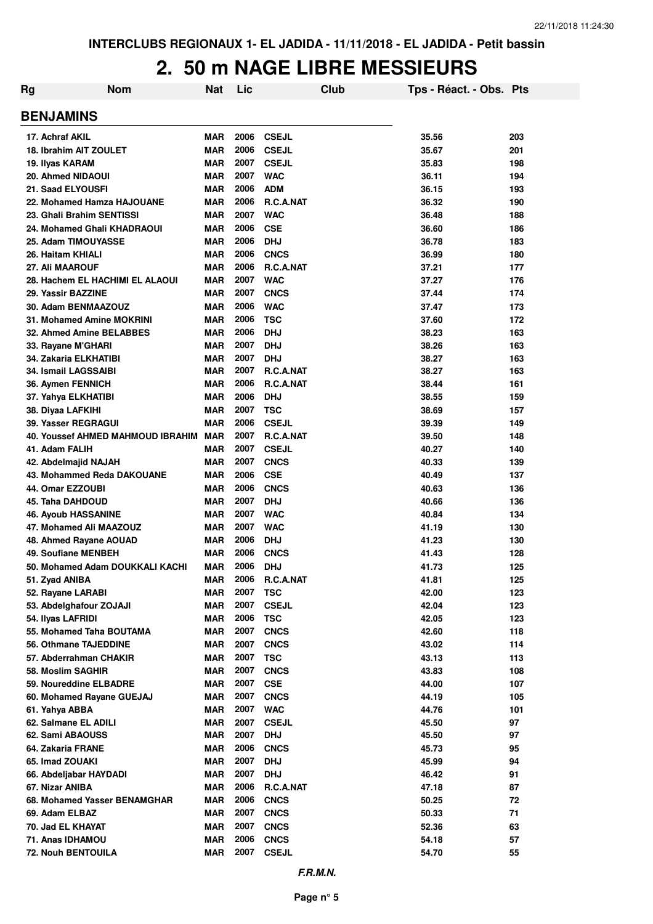| Rg | <b>Nom</b>                               | <b>Nat</b>        | Lic          | Club                       | Tps - Réact. - Obs. Pts |          |
|----|------------------------------------------|-------------------|--------------|----------------------------|-------------------------|----------|
|    | <b>BENJAMINS</b>                         |                   |              |                            |                         |          |
|    | 17. Achraf AKIL                          | <b>MAR</b>        | 2006         | <b>CSEJL</b>               | 35.56                   | 203      |
|    | <b>18. Ibrahim AIT ZOULET</b>            | <b>MAR</b>        | 2006         | <b>CSEJL</b>               | 35.67                   | 201      |
|    | 19. Ilyas KARAM                          | <b>MAR</b>        | 2007         | <b>CSEJL</b>               | 35.83                   | 198      |
|    | 20. Ahmed NIDAOUI                        | <b>MAR</b>        | 2007         | <b>WAC</b>                 | 36.11                   | 194      |
|    | 21. Saad ELYOUSFI                        | <b>MAR</b>        | 2006         | <b>ADM</b>                 | 36.15                   | 193      |
|    | 22. Mohamed Hamza HAJOUANE               | <b>MAR</b>        | 2006         | R.C.A.NAT                  | 36.32                   | 190      |
|    | 23. Ghali Brahim SENTISSI                | <b>MAR</b>        | 2007         | <b>WAC</b>                 | 36.48                   | 188      |
|    | 24. Mohamed Ghali KHADRAOUI              | <b>MAR</b>        | 2006         | <b>CSE</b>                 | 36.60                   | 186      |
|    | 25. Adam TIMOUYASSE                      | <b>MAR</b>        | 2006         | <b>DHJ</b>                 | 36.78                   | 183      |
|    | 26. Haitam KHIALI                        | MAR               | 2006         | <b>CNCS</b>                | 36.99                   | 180      |
|    | 27. Ali MAAROUF                          | <b>MAR</b>        | 2006         | <b>R.C.A.NAT</b>           | 37.21                   | 177      |
|    | 28. Hachem EL HACHIMI EL ALAOUI          | <b>MAR</b>        | 2007         | <b>WAC</b>                 | 37.27                   | 176      |
|    | 29. Yassir BAZZINE                       | <b>MAR</b>        | 2007         | <b>CNCS</b>                | 37.44                   | 174      |
|    | 30. Adam BENMAAZOUZ                      | <b>MAR</b>        | 2006         | <b>WAC</b>                 | 37.47                   | 173      |
|    | 31. Mohamed Amine MOKRINI                | <b>MAR</b>        | 2006         | <b>TSC</b>                 | 37.60                   | 172      |
|    | 32. Ahmed Amine BELABBES                 | <b>MAR</b>        | 2006         | <b>DHJ</b>                 | 38.23                   | 163      |
|    | 33. Rayane M'GHARI                       | <b>MAR</b>        | 2007         | <b>DHJ</b>                 | 38.26                   | 163      |
|    | 34. Zakaria ELKHATIBI                    | <b>MAR</b>        | 2007         | <b>DHJ</b>                 | 38.27                   | 163      |
|    | 34. Ismail LAGSSAIBI                     | <b>MAR</b>        | 2007         | R.C.A.NAT                  | 38.27                   | 163      |
|    | 36. Aymen FENNICH                        | <b>MAR</b>        | 2006         | R.C.A.NAT                  | 38.44                   | 161      |
|    | 37. Yahya ELKHATIBI                      | <b>MAR</b>        | 2006         | <b>DHJ</b>                 | 38.55                   | 159      |
|    | 38. Diyaa LAFKIHI                        | <b>MAR</b>        | 2007         | <b>TSC</b>                 | 38.69                   | 157      |
|    | 39. Yasser REGRAGUI                      | <b>MAR</b>        | 2006         | <b>CSEJL</b>               | 39.39                   | 149      |
|    | <b>40. Youssef AHMED MAHMOUD IBRAHIM</b> | <b>MAR</b>        | 2007         | R.C.A.NAT                  | 39.50                   | 148      |
|    | 41. Adam FALIH                           | <b>MAR</b>        | 2007         | <b>CSEJL</b>               | 40.27                   | 140      |
|    | 42. Abdelmajid NAJAH                     | <b>MAR</b>        | 2007         | <b>CNCS</b>                | 40.33                   | 139      |
|    | 43. Mohammed Reda DAKOUANE               | <b>MAR</b>        | 2006         | <b>CSE</b>                 | 40.49                   | 137      |
|    | 44. Omar EZZOUBI                         | <b>MAR</b>        | 2006         | <b>CNCS</b>                | 40.63                   | 136      |
|    | 45. Taha DAHDOUD                         | <b>MAR</b>        | 2007         | <b>DHJ</b>                 | 40.66                   | 136      |
|    | 46. Ayoub HASSANINE                      | <b>MAR</b>        | 2007         | <b>WAC</b>                 | 40.84                   | 134      |
|    | 47. Mohamed Ali MAAZOUZ                  | <b>MAR</b>        | 2007         | <b>WAC</b>                 | 41.19                   | 130      |
|    | 48. Ahmed Rayane AOUAD                   | <b>MAR</b>        | 2006         | <b>DHJ</b>                 | 41.23                   | 130      |
|    | 49. Soufiane MENBEH                      | MAR               | 2006         | <b>CNCS</b>                | 41.43                   | 128      |
|    | 50. Mohamed Adam DOUKKALI KACHI          | <b>MAR</b>        | 2006         | <b>DHJ</b>                 | 41.73                   | 125      |
|    | 51. Zyad ANIBA                           | <b>MAR</b>        | 2006         | R.C.A.NAT                  | 41.81                   | 125      |
|    | 52. Rayane LARABI                        | <b>MAR</b>        | 2007         | <b>TSC</b>                 | 42.00                   | 123      |
|    | 53. Abdelghafour ZOJAJI                  | <b>MAR</b>        | 2007         | <b>CSEJL</b>               | 42.04                   | 123      |
|    | 54. Ilyas LAFRIDI                        | <b>MAR</b>        | 2006         | <b>TSC</b>                 | 42.05                   | 123      |
|    | 55. Mohamed Taha BOUTAMA                 | <b>MAR</b>        | 2007         | <b>CNCS</b>                | 42.60                   | 118      |
|    | 56. Othmane TAJEDDINE                    | <b>MAR</b>        | 2007         | <b>CNCS</b>                | 43.02                   | 114      |
|    | 57. Abderrahman CHAKIR                   | <b>MAR</b>        | 2007         | <b>TSC</b>                 | 43.13                   | 113      |
|    | 58. Moslim SAGHIR                        | <b>MAR</b>        | 2007         | <b>CNCS</b>                | 43.83                   | 108      |
|    | 59. Noureddine ELBADRE                   | <b>MAR</b>        | 2007         | <b>CSE</b>                 | 44.00                   | 107      |
|    | 60. Mohamed Rayane GUEJAJ                | <b>MAR</b>        | 2007         | <b>CNCS</b>                | 44.19                   | 105      |
|    | 61. Yahya ABBA                           | <b>MAR</b>        | 2007         | <b>WAC</b>                 | 44.76                   | 101      |
|    | 62. Salmane EL ADILI                     | MAR<br><b>MAR</b> | 2007<br>2007 | <b>CSEJL</b><br><b>DHJ</b> | 45.50<br>45.50          | 97       |
|    | 62. Sami ABAOUSS                         | <b>MAR</b>        | 2006         |                            | 45.73                   | 97       |
|    | 64. Zakaria FRANE<br>65. Imad ZOUAKI     | <b>MAR</b>        | 2007         | <b>CNCS</b><br><b>DHJ</b>  | 45.99                   | 95<br>94 |
|    | 66. Abdeljabar HAYDADI                   | <b>MAR</b>        | 2007         | <b>DHJ</b>                 | 46.42                   | 91       |
|    | 67. Nizar ANIBA                          | <b>MAR</b>        | 2006         | R.C.A.NAT                  | 47.18                   | 87       |
|    | 68. Mohamed Yasser BENAMGHAR             | <b>MAR</b>        | 2006         | <b>CNCS</b>                | 50.25                   | 72       |
|    | 69. Adam ELBAZ                           | <b>MAR</b>        | 2007         | <b>CNCS</b>                | 50.33                   | 71       |
|    | 70. Jad EL KHAYAT                        | <b>MAR</b>        | 2007         | <b>CNCS</b>                | 52.36                   | 63       |
|    | 71. Anas IDHAMOU                         | <b>MAR</b>        | 2006         | <b>CNCS</b>                | 54.18                   | 57       |
|    | 72. Nouh BENTOUILA                       | <b>MAR</b>        | 2007         | <b>CSEJL</b>               | 54.70                   | 55       |
|    |                                          |                   |              |                            |                         |          |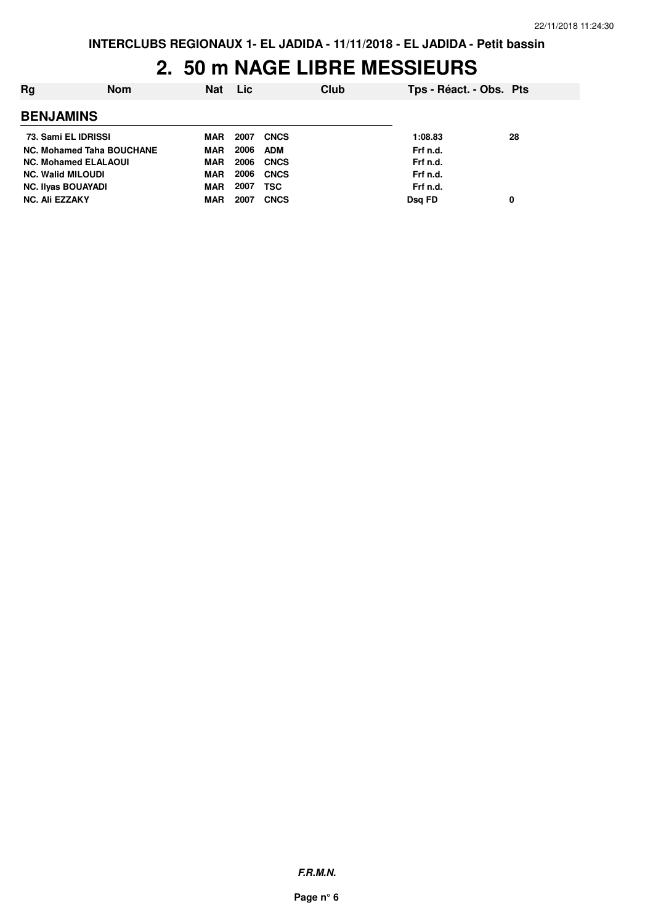| Ra                          | <b>Nom</b> | Nat        | Lic  |             | Club | Tps - Réact. - Obs. Pts |    |
|-----------------------------|------------|------------|------|-------------|------|-------------------------|----|
| <b>BENJAMINS</b>            |            |            |      |             |      |                         |    |
| 73. Sami EL IDRISSI         |            | <b>MAR</b> | 2007 | <b>CNCS</b> |      | 1:08.83                 | 28 |
| NC. Mohamed Taha BOUCHANE   |            | MAR        | 2006 | ADM         |      | Frf n.d.                |    |
| <b>NC. Mohamed ELALAOUI</b> |            | MAR        | 2006 | CNCS        |      | Frf n.d.                |    |
| <b>NC. Walid MILOUDI</b>    |            | MAR        | 2006 | <b>CNCS</b> |      | Frf n.d.                |    |
| <b>NC. Ilyas BOUAYADI</b>   |            | MAR        | 2007 | <b>TSC</b>  |      | Frf n.d.                |    |
| <b>NC. Ali EZZAKY</b>       |            | <b>MAR</b> | 2007 | <b>CNCS</b> |      | Dsg FD                  | 0  |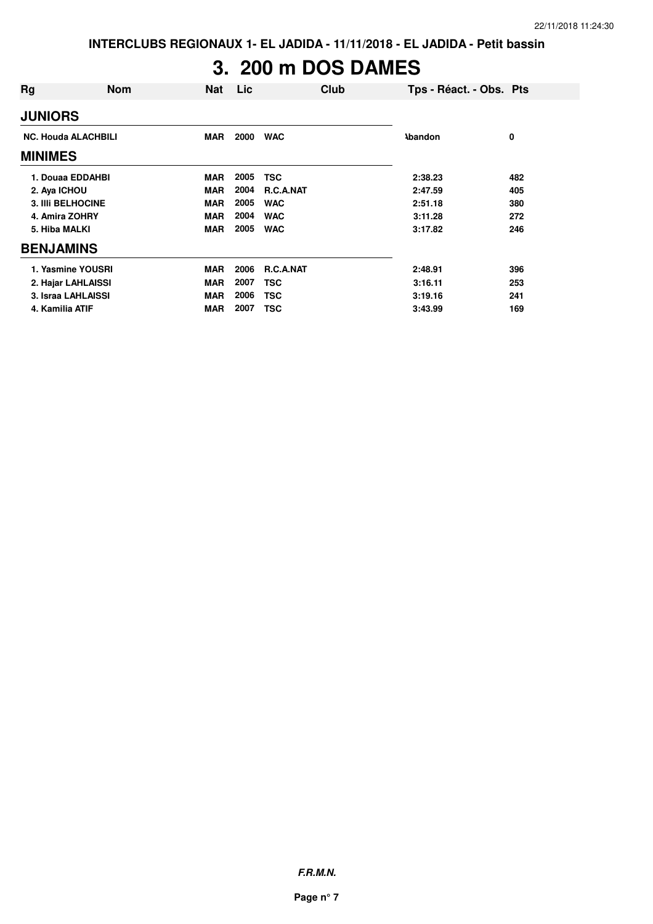# **3. 200 m DOS DAMES**

| <b>Nom</b>                 | Nat        | Lic  | Club             | Tps - Réact. - Obs. Pts |     |
|----------------------------|------------|------|------------------|-------------------------|-----|
|                            |            |      |                  |                         |     |
| <b>NC. Houda ALACHBILI</b> | MAR        | 2000 | <b>WAC</b>       | <b>Abandon</b>          | 0   |
|                            |            |      |                  |                         |     |
| 1. Douaa EDDAHBI           | <b>MAR</b> | 2005 | <b>TSC</b>       | 2:38.23                 | 482 |
| 2. Aya ICHOU               | <b>MAR</b> | 2004 | <b>R.C.A.NAT</b> | 2:47.59                 | 405 |
| <b>3. IIII BELHOCINE</b>   | <b>MAR</b> | 2005 | <b>WAC</b>       | 2:51.18                 | 380 |
| 4. Amira ZOHRY             | <b>MAR</b> | 2004 | <b>WAC</b>       | 3:11.28                 | 272 |
| 5. Hiba MALKI              | <b>MAR</b> | 2005 | <b>WAC</b>       | 3:17.82                 | 246 |
| <b>BENJAMINS</b>           |            |      |                  |                         |     |
| 1. Yasmine YOUSRI          | <b>MAR</b> | 2006 | <b>R.C.A.NAT</b> | 2:48.91                 | 396 |
| 2. Hajar LAHLAISSI         | <b>MAR</b> | 2007 | TSC              | 3:16.11                 | 253 |
| 3. Israa LAHLAISSI         | <b>MAR</b> | 2006 | <b>TSC</b>       | 3:19.16                 | 241 |
| 4. Kamilia ATIF            | <b>MAR</b> | 2007 | <b>TSC</b>       | 3:43.99                 | 169 |
|                            |            |      |                  |                         |     |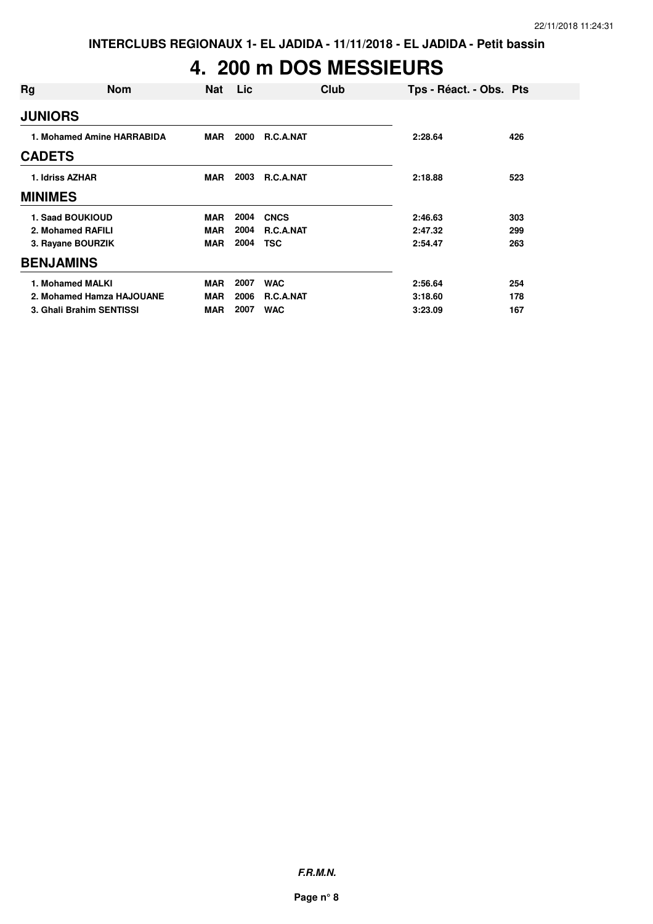## **4. 200 m DOS MESSIEURS**

| Rg               | <b>Nom</b>                 | <b>Nat</b> | Lic  | Club             | Tps - Réact. - Obs. Pts |     |
|------------------|----------------------------|------------|------|------------------|-------------------------|-----|
| <b>JUNIORS</b>   |                            |            |      |                  |                         |     |
|                  | 1. Mohamed Amine HARRABIDA | <b>MAR</b> | 2000 | <b>R.C.A.NAT</b> | 2:28.64                 | 426 |
| <b>CADETS</b>    |                            |            |      |                  |                         |     |
| 1. Idriss AZHAR  |                            | MAR        | 2003 | <b>R.C.A.NAT</b> | 2:18.88                 | 523 |
| <b>MINIMES</b>   |                            |            |      |                  |                         |     |
|                  | 1. Saad BOUKIOUD           | <b>MAR</b> | 2004 | <b>CNCS</b>      | 2:46.63                 | 303 |
|                  | 2. Mohamed RAFILI          | <b>MAR</b> | 2004 | <b>R.C.A.NAT</b> | 2:47.32                 | 299 |
|                  | 3. Rayane BOURZIK          | <b>MAR</b> | 2004 | <b>TSC</b>       | 2:54.47                 | 263 |
| <b>BENJAMINS</b> |                            |            |      |                  |                         |     |
|                  | 1. Mohamed MALKI           | <b>MAR</b> | 2007 | <b>WAC</b>       | 2:56.64                 | 254 |
|                  | 2. Mohamed Hamza HAJOUANE  | <b>MAR</b> | 2006 | <b>R.C.A.NAT</b> | 3:18.60                 | 178 |
|                  | 3. Ghali Brahim SENTISSI   | <b>MAR</b> | 2007 | <b>WAC</b>       | 3:23.09                 | 167 |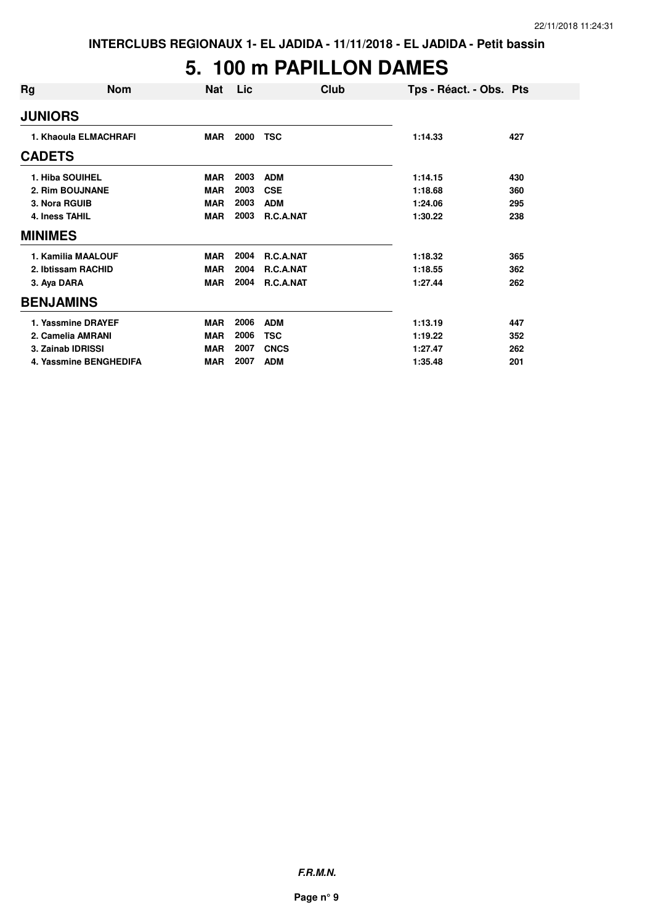#### **5. 100 m PAPILLON DAMES**

| Rg                | <b>Nom</b>             | <b>Nat</b> | Lic  | Club        | Tps - Réact. - Obs. Pts |     |
|-------------------|------------------------|------------|------|-------------|-------------------------|-----|
| <b>JUNIORS</b>    |                        |            |      |             |                         |     |
|                   | 1. Khaoula ELMACHRAFI  | <b>MAR</b> | 2000 | <b>TSC</b>  | 1:14.33                 | 427 |
| <b>CADETS</b>     |                        |            |      |             |                         |     |
| 1. Hiba SOUIHEL   |                        | <b>MAR</b> | 2003 | <b>ADM</b>  | 1:14.15                 | 430 |
|                   | 2. Rim BOUJNANE        | <b>MAR</b> | 2003 | <b>CSE</b>  | 1:18.68                 | 360 |
| 3. Nora RGUIB     |                        | <b>MAR</b> | 2003 | <b>ADM</b>  | 1:24.06                 | 295 |
| 4. Iness TAHIL    |                        | <b>MAR</b> | 2003 | R.C.A.NAT   | 1:30.22                 | 238 |
| <b>MINIMES</b>    |                        |            |      |             |                         |     |
|                   | 1. Kamilia MAALOUF     | <b>MAR</b> | 2004 | R.C.A.NAT   | 1:18.32                 | 365 |
|                   | 2. Ibtissam RACHID     | <b>MAR</b> | 2004 | R.C.A.NAT   | 1:18.55                 | 362 |
| 3. Aya DARA       |                        | <b>MAR</b> | 2004 | R.C.A.NAT   | 1:27.44                 | 262 |
| <b>BENJAMINS</b>  |                        |            |      |             |                         |     |
|                   | 1. Yassmine DRAYEF     | <b>MAR</b> | 2006 | <b>ADM</b>  | 1:13.19                 | 447 |
|                   | 2. Camelia AMRANI      | <b>MAR</b> | 2006 | <b>TSC</b>  | 1:19.22                 | 352 |
| 3. Zainab IDRISSI |                        | <b>MAR</b> | 2007 | <b>CNCS</b> | 1:27.47                 | 262 |
|                   | 4. Yassmine BENGHEDIFA | <b>MAR</b> | 2007 | <b>ADM</b>  | 1:35.48                 | 201 |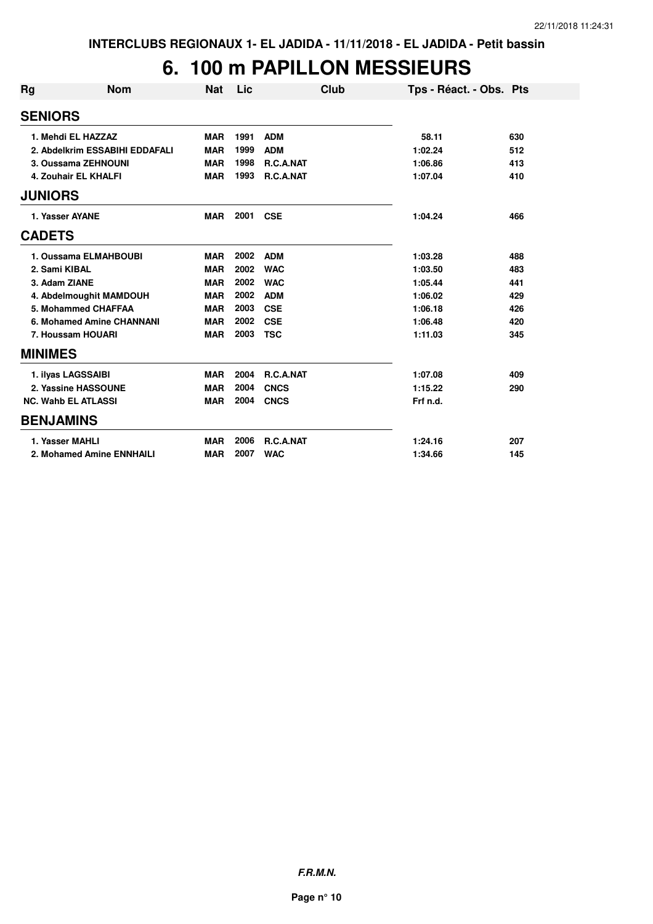#### **6. 100 m PAPILLON MESSIEURS**

| Rg             | <b>Nom</b>                     | <b>Nat</b> | Lic  | Club        | Tps - Réact. - Obs. Pts |     |
|----------------|--------------------------------|------------|------|-------------|-------------------------|-----|
| <b>SENIORS</b> |                                |            |      |             |                         |     |
|                | 1. Mehdi EL HAZZAZ             | <b>MAR</b> | 1991 | <b>ADM</b>  | 58.11                   | 630 |
|                | 2. Abdelkrim ESSABIHI EDDAFALI | <b>MAR</b> | 1999 | <b>ADM</b>  | 1:02.24                 | 512 |
|                | 3. Oussama ZEHNOUNI            | <b>MAR</b> | 1998 | R.C.A.NAT   | 1:06.86                 | 413 |
|                | 4. Zouhair EL KHALFI           | <b>MAR</b> | 1993 | R.C.A.NAT   | 1:07.04                 | 410 |
| <b>JUNIORS</b> |                                |            |      |             |                         |     |
|                | 1. Yasser AYANE                | <b>MAR</b> | 2001 | <b>CSE</b>  | 1:04.24                 | 466 |
| <b>CADETS</b>  |                                |            |      |             |                         |     |
|                | 1. Oussama ELMAHBOUBI          | <b>MAR</b> | 2002 | <b>ADM</b>  | 1:03.28                 | 488 |
|                | 2. Sami KIBAL                  | <b>MAR</b> | 2002 | <b>WAC</b>  | 1:03.50                 | 483 |
|                | 3. Adam ZIANE                  | <b>MAR</b> | 2002 | <b>WAC</b>  | 1:05.44                 | 441 |
|                | 4. Abdelmoughit MAMDOUH        | <b>MAR</b> | 2002 | <b>ADM</b>  | 1:06.02                 | 429 |
|                | 5. Mohammed CHAFFAA            | <b>MAR</b> | 2003 | <b>CSE</b>  | 1:06.18                 | 426 |
|                | 6. Mohamed Amine CHANNANI      | <b>MAR</b> | 2002 | <b>CSE</b>  | 1:06.48                 | 420 |
|                | 7. Houssam HOUARI              | <b>MAR</b> | 2003 | <b>TSC</b>  | 1:11.03                 | 345 |
| <b>MINIMES</b> |                                |            |      |             |                         |     |
|                | 1. ilyas LAGSSAIBI             | <b>MAR</b> | 2004 | R.C.A.NAT   | 1:07.08                 | 409 |
|                | 2. Yassine HASSOUNE            | <b>MAR</b> | 2004 | <b>CNCS</b> | 1:15.22                 | 290 |
|                | <b>NC. Wahb EL ATLASSI</b>     | <b>MAR</b> | 2004 | <b>CNCS</b> | Frf n.d.                |     |
|                | <b>BENJAMINS</b>               |            |      |             |                         |     |
|                | 1. Yasser MAHLI                | <b>MAR</b> | 2006 | R.C.A.NAT   | 1:24.16                 | 207 |
|                | 2. Mohamed Amine ENNHAILI      | <b>MAR</b> | 2007 | <b>WAC</b>  | 1:34.66                 | 145 |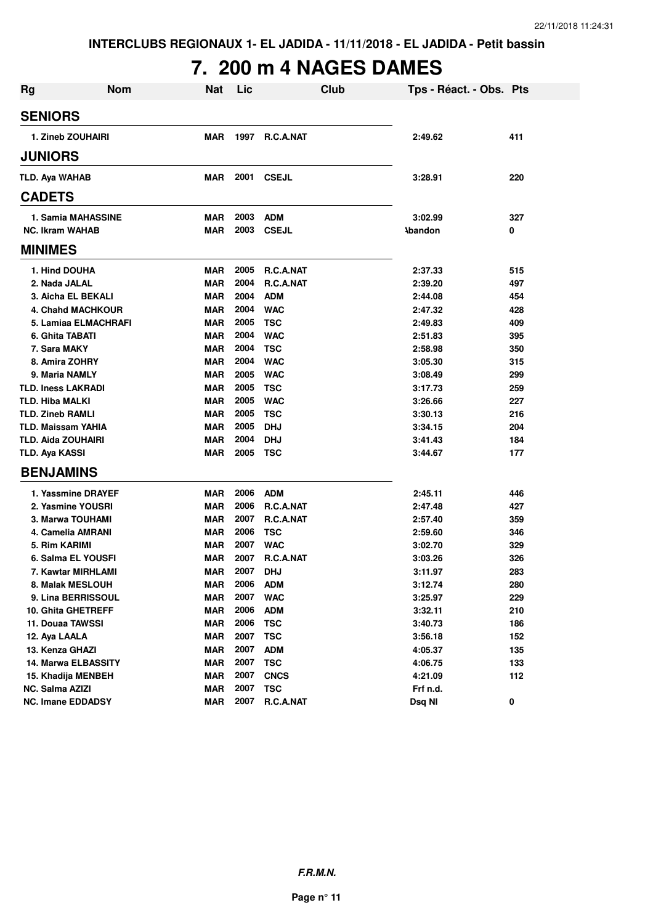# **7. 200 m 4 NAGES DAMES**

| Rg             | <b>Nom</b>                | <b>Nat</b> | Lic  | <b>Club</b>  | Tps - Réact. - Obs. Pts |     |
|----------------|---------------------------|------------|------|--------------|-------------------------|-----|
| <b>SENIORS</b> |                           |            |      |              |                         |     |
|                | 1. Zineb ZOUHAIRI         | <b>MAR</b> | 1997 | R.C.A.NAT    | 2:49.62                 | 411 |
| <b>JUNIORS</b> |                           |            |      |              |                         |     |
|                | <b>TLD. Aya WAHAB</b>     | <b>MAR</b> | 2001 | <b>CSEJL</b> | 3:28.91                 | 220 |
| <b>CADETS</b>  |                           |            |      |              |                         |     |
|                | 1. Samia MAHASSINE        | MAR        | 2003 | <b>ADM</b>   | 3:02.99                 | 327 |
|                | <b>NC. Ikram WAHAB</b>    | <b>MAR</b> | 2003 | <b>CSEJL</b> | <b>Abandon</b>          | 0   |
| <b>MINIMES</b> |                           |            |      |              |                         |     |
|                | 1. Hind DOUHA             | <b>MAR</b> | 2005 | R.C.A.NAT    | 2:37.33                 | 515 |
|                | 2. Nada JALAL             | <b>MAR</b> | 2004 | R.C.A.NAT    | 2:39.20                 | 497 |
|                | 3. Aicha EL BEKALI        | <b>MAR</b> | 2004 | <b>ADM</b>   | 2:44.08                 | 454 |
|                | <b>4. Chahd MACHKOUR</b>  | <b>MAR</b> | 2004 | <b>WAC</b>   | 2:47.32                 | 428 |
|                | 5. Lamiaa ELMACHRAFI      | <b>MAR</b> | 2005 | <b>TSC</b>   | 2:49.83                 | 409 |
|                | 6. Ghita TABATI           | <b>MAR</b> | 2004 | <b>WAC</b>   | 2:51.83                 | 395 |
|                | 7. Sara MAKY              | <b>MAR</b> | 2004 | <b>TSC</b>   | 2:58.98                 | 350 |
|                | 8. Amira ZOHRY            | <b>MAR</b> | 2004 | <b>WAC</b>   | 3:05.30                 | 315 |
|                | 9. Maria NAMLY            | <b>MAR</b> | 2005 | <b>WAC</b>   | 3:08.49                 | 299 |
|                | <b>TLD. Iness LAKRADI</b> | <b>MAR</b> | 2005 | <b>TSC</b>   | 3:17.73                 | 259 |
|                | <b>TLD. Hiba MALKI</b>    | <b>MAR</b> | 2005 | <b>WAC</b>   | 3:26.66                 | 227 |
|                | <b>TLD. Zineb RAMLI</b>   | <b>MAR</b> | 2005 | <b>TSC</b>   | 3:30.13                 | 216 |
|                | <b>TLD. Maissam YAHIA</b> | <b>MAR</b> | 2005 | <b>DHJ</b>   | 3:34.15                 | 204 |
|                | <b>TLD. Aida ZOUHAIRI</b> | <b>MAR</b> | 2004 | <b>DHJ</b>   | 3:41.43                 | 184 |
| TLD. Aya KASSI |                           | <b>MAR</b> | 2005 | <b>TSC</b>   | 3:44.67                 | 177 |
|                | <b>BENJAMINS</b>          |            |      |              |                         |     |
|                | 1. Yassmine DRAYEF        | <b>MAR</b> | 2006 | <b>ADM</b>   | 2:45.11                 | 446 |
|                | 2. Yasmine YOUSRI         | <b>MAR</b> | 2006 | R.C.A.NAT    | 2:47.48                 | 427 |
|                | 3. Marwa TOUHAMI          | <b>MAR</b> | 2007 | R.C.A.NAT    | 2:57.40                 | 359 |
|                | 4. Camelia AMRANI         | <b>MAR</b> | 2006 | <b>TSC</b>   | 2:59.60                 | 346 |
|                | 5. Rim KARIMI             | <b>MAR</b> | 2007 | <b>WAC</b>   | 3:02.70                 | 329 |
|                | 6. Salma EL YOUSFI        | <b>MAR</b> | 2007 | R.C.A.NAT    | 3:03.26                 | 326 |
|                | 7. Kawtar MIRHLAMI        | <b>MAR</b> | 2007 | DHJ          | 3:11.97                 | 283 |
|                | 8. Malak MESLOUH          | MAR        | 2006 | <b>ADM</b>   | 3:12.74                 | 280 |
|                | 9. Lina BERRISSOUL        | <b>MAR</b> | 2007 | <b>WAC</b>   | 3:25.97                 | 229 |
|                | 10. Ghita GHETREFF        | <b>MAR</b> | 2006 | <b>ADM</b>   | 3:32.11                 | 210 |
|                | 11. Douaa TAWSSI          | <b>MAR</b> | 2006 | <b>TSC</b>   | 3:40.73                 | 186 |
|                | 12. Aya LAALA             | <b>MAR</b> | 2007 | <b>TSC</b>   | 3:56.18                 | 152 |
|                | 13. Kenza GHAZI           | <b>MAR</b> | 2007 | <b>ADM</b>   | 4:05.37                 | 135 |
|                | 14. Marwa ELBASSITY       | <b>MAR</b> | 2007 | <b>TSC</b>   | 4:06.75                 | 133 |
|                | 15. Khadija MENBEH        | <b>MAR</b> | 2007 | <b>CNCS</b>  | 4:21.09                 | 112 |
|                | NC. Salma AZIZI           | <b>MAR</b> | 2007 | <b>TSC</b>   | Frf n.d.                |     |
|                | <b>NC. Imane EDDADSY</b>  | <b>MAR</b> | 2007 | R.C.A.NAT    | Dsq NI                  | 0   |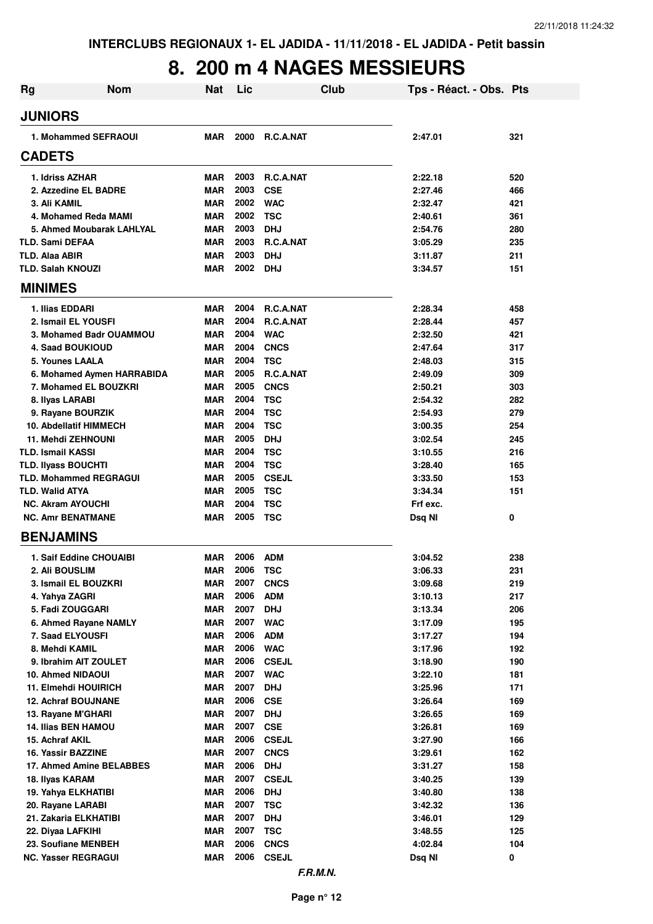#### **8. 200 m 4 NAGES MESSIEURS**

| <b>Rg</b>                                        | <b>Nom</b>                    | Nat                      | Lic          |                          | Club | Tps - Réact. - Obs. Pts |            |
|--------------------------------------------------|-------------------------------|--------------------------|--------------|--------------------------|------|-------------------------|------------|
| <b>JUNIORS</b>                                   |                               |                          |              |                          |      |                         |            |
|                                                  | 1. Mohammed SEFRAOUI          | MAR                      | 2000         | <b>R.C.A.NAT</b>         |      | 2:47.01                 | 321        |
| <b>CADETS</b>                                    |                               |                          |              |                          |      |                         |            |
| 1. Idriss AZHAR                                  |                               | <b>MAR</b>               | 2003         | R.C.A.NAT                |      | 2:22.18                 | 520        |
|                                                  | 2. Azzedine EL BADRE          | <b>MAR</b>               | 2003         | <b>CSE</b>               |      | 2:27.46                 | 466        |
| 3. Ali KAMIL                                     |                               | <b>MAR</b>               | 2002         | <b>WAC</b>               |      | 2:32.47                 | 421        |
|                                                  | 4. Mohamed Reda MAMI          | <b>MAR</b>               | 2002         | <b>TSC</b>               |      | 2:40.61                 | 361        |
|                                                  | 5. Ahmed Moubarak LAHLYAL     | <b>MAR</b>               | 2003         | <b>DHJ</b>               |      | 2:54.76                 | 280        |
| <b>TLD. Sami DEFAA</b>                           |                               | <b>MAR</b>               | 2003         | R.C.A.NAT                |      | 3:05.29                 | 235        |
| <b>TLD. Alaa ABIR</b>                            |                               | <b>MAR</b>               | 2003         | <b>DHJ</b>               |      | 3:11.87                 | 211        |
| <b>TLD. Salah KNOUZI</b>                         |                               | <b>MAR</b>               | 2002         | <b>DHJ</b>               |      | 3:34.57                 | 151        |
| <b>MINIMES</b>                                   |                               |                          |              |                          |      |                         |            |
| 1. Ilias EDDARI                                  |                               | <b>MAR</b>               | 2004         | <b>R.C.A.NAT</b>         |      | 2:28.34                 | 458        |
|                                                  | 2. Ismail EL YOUSFI           | <b>MAR</b>               | 2004         | <b>R.C.A.NAT</b>         |      | 2:28.44                 | 457        |
|                                                  | 3. Mohamed Badr OUAMMOU       | <b>MAR</b>               | 2004         | <b>WAC</b>               |      | 2:32.50                 | 421        |
| <b>4. Saad BOUKIOUD</b>                          |                               | <b>MAR</b>               | 2004         | <b>CNCS</b>              |      | 2:47.64                 | 317        |
| 5. Younes LAALA                                  |                               | <b>MAR</b>               | 2004         | <b>TSC</b>               |      | 2:48.03                 | 315        |
|                                                  | 6. Mohamed Aymen HARRABIDA    | <b>MAR</b>               | 2005         | R.C.A.NAT                |      | 2:49.09                 | 309        |
|                                                  | 7. Mohamed EL BOUZKRI         | <b>MAR</b>               | 2005         | <b>CNCS</b>              |      | 2:50.21                 | 303        |
| 8. Ilyas LARABI                                  |                               | <b>MAR</b>               | 2004         | <b>TSC</b>               |      | 2:54.32                 | 282        |
|                                                  | 9. Rayane BOURZIK             | <b>MAR</b>               | 2004         | <b>TSC</b>               |      | 2:54.93                 | 279        |
|                                                  | <b>10. Abdellatif HIMMECH</b> | <b>MAR</b>               | 2004         | <b>TSC</b>               |      | 3:00.35                 | 254        |
| 11. Mehdi ZEHNOUNI                               |                               | <b>MAR</b>               | 2005         | <b>DHJ</b>               |      | 3:02.54                 | 245        |
| <b>TLD. Ismail KASSI</b>                         |                               | <b>MAR</b>               | 2004         | <b>TSC</b>               |      | 3:10.55                 | 216        |
| <b>TLD. Ilyass BOUCHTI</b>                       |                               | <b>MAR</b>               | 2004         | <b>TSC</b>               |      | 3:28.40                 | 165        |
|                                                  | <b>TLD. Mohammed REGRAGUI</b> | <b>MAR</b>               | 2005         | <b>CSEJL</b>             |      | 3:33.50                 | 153        |
| <b>TLD. Walid ATYA</b>                           |                               | <b>MAR</b>               | 2005         | <b>TSC</b>               |      | 3:34.34                 | 151        |
| <b>NC. Akram AYOUCHI</b>                         |                               | <b>MAR</b>               | 2004         | <b>TSC</b>               |      | Frf exc.                |            |
| <b>NC. Amr BENATMANE</b>                         |                               | <b>MAR</b>               | 2005         | <b>TSC</b>               |      | Dsq NI                  | 0          |
| <b>BENJAMINS</b>                                 |                               |                          |              |                          |      |                         |            |
|                                                  | 1. Saif Eddine CHOUAIBI       | <b>MAR</b>               | 2006         | <b>ADM</b>               |      | 3:04.52                 | 238        |
| 2. Ali BOUSLIM                                   |                               | <b>MAR</b>               | 2006         | <b>TSC</b>               |      | 3:06.33                 | 231        |
|                                                  | 3. Ismail EL BOUZKRI          | MAR                      | 2007         | <b>CNCS</b>              |      | 3:09.68                 | 219        |
| 4. Yahya ZAGRI                                   |                               | <b>MAR</b>               | 2006         | <b>ADM</b>               |      | 3:10.13                 | 217        |
| 5. Fadi ZOUGGARI                                 |                               | <b>MAR</b>               | 2007         | <b>DHJ</b>               |      | 3:13.34                 | 206        |
|                                                  | 6. Ahmed Rayane NAMLY         | <b>MAR</b>               | 2007         | <b>WAC</b>               |      | 3:17.09                 | 195        |
| 7. Saad ELYOUSFI                                 |                               | <b>MAR</b>               | 2006         | <b>ADM</b>               |      | 3:17.27                 | 194        |
| 8. Mehdi KAMIL                                   |                               | <b>MAR</b>               | 2006         | <b>WAC</b>               |      | 3:17.96                 | 192        |
|                                                  | 9. Ibrahim AIT ZOULET         | <b>MAR</b>               | 2006         | <b>CSEJL</b>             |      | 3:18.90                 | 190        |
| 10. Ahmed NIDAOUI                                |                               | <b>MAR</b>               | 2007         | <b>WAC</b>               |      | 3:22.10                 | 181        |
|                                                  | 11. Elmehdi HOUIRICH          | <b>MAR</b>               | 2007         | <b>DHJ</b>               |      | 3:25.96                 | 171        |
|                                                  | <b>12. Achraf BOUJNANE</b>    | <b>MAR</b>               | 2006<br>2007 | <b>CSE</b>               |      | 3:26.64                 | 169        |
| 13. Rayane M'GHARI<br><b>14. Ilias BEN HAMOU</b> |                               | <b>MAR</b><br><b>MAR</b> | 2007         | <b>DHJ</b><br><b>CSE</b> |      | 3:26.65                 | 169<br>169 |
| 15. Achraf AKIL                                  |                               | <b>MAR</b>               | 2006         | <b>CSEJL</b>             |      | 3:26.81<br>3:27.90      | 166        |
| 16. Yassir BAZZINE                               |                               | <b>MAR</b>               | 2007         | <b>CNCS</b>              |      | 3:29.61                 | 162        |
|                                                  | 17. Ahmed Amine BELABBES      | <b>MAR</b>               | 2006         | <b>DHJ</b>               |      | 3:31.27                 | 158        |
| 18. Ilyas KARAM                                  |                               | <b>MAR</b>               | 2007         | <b>CSEJL</b>             |      | 3:40.25                 | 139        |
| 19. Yahya ELKHATIBI                              |                               | <b>MAR</b>               | 2006         | <b>DHJ</b>               |      | 3:40.80                 | 138        |
| 20. Rayane LARABI                                |                               | <b>MAR</b>               | 2007         | <b>TSC</b>               |      | 3:42.32                 | 136        |
|                                                  | 21. Zakaria ELKHATIBI         | <b>MAR</b>               | 2007         | <b>DHJ</b>               |      | 3:46.01                 | 129        |
| 22. Diyaa LAFKIHI                                |                               | <b>MAR</b>               | 2007         | <b>TSC</b>               |      | 3:48.55                 | 125        |
|                                                  | 23. Soufiane MENBEH           | <b>MAR</b>               | 2006         | <b>CNCS</b>              |      | 4:02.84                 | 104        |
| <b>NC. Yasser REGRAGUI</b>                       |                               | <b>MAR</b>               | 2006         | <b>CSEJL</b>             |      | Dsq NI                  | 0          |
|                                                  |                               |                          |              |                          |      |                         |            |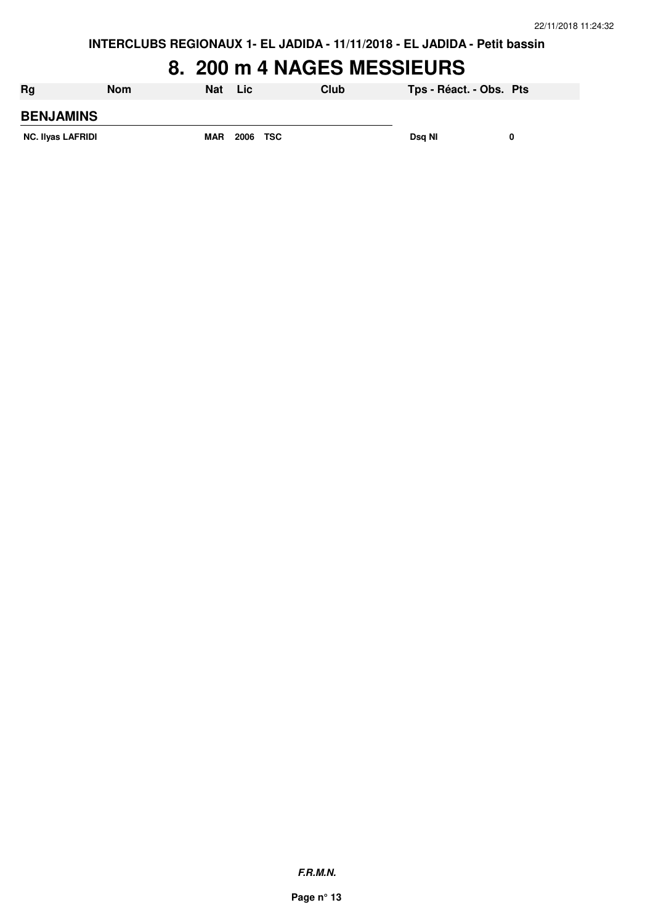#### **8. 200 m 4 NAGES MESSIEURS**

| <b>Rg</b>                | <b>Nom</b> | <b>Nat</b> | <b>Lic</b> | Club | Tps - Réact. - Obs. Pts |  |
|--------------------------|------------|------------|------------|------|-------------------------|--|
| <b>BENJAMINS</b>         |            |            |            |      |                         |  |
| <b>NC. Ilyas LAFRIDI</b> |            | <b>MAR</b> | 2006 TSC   |      | Dsg NI                  |  |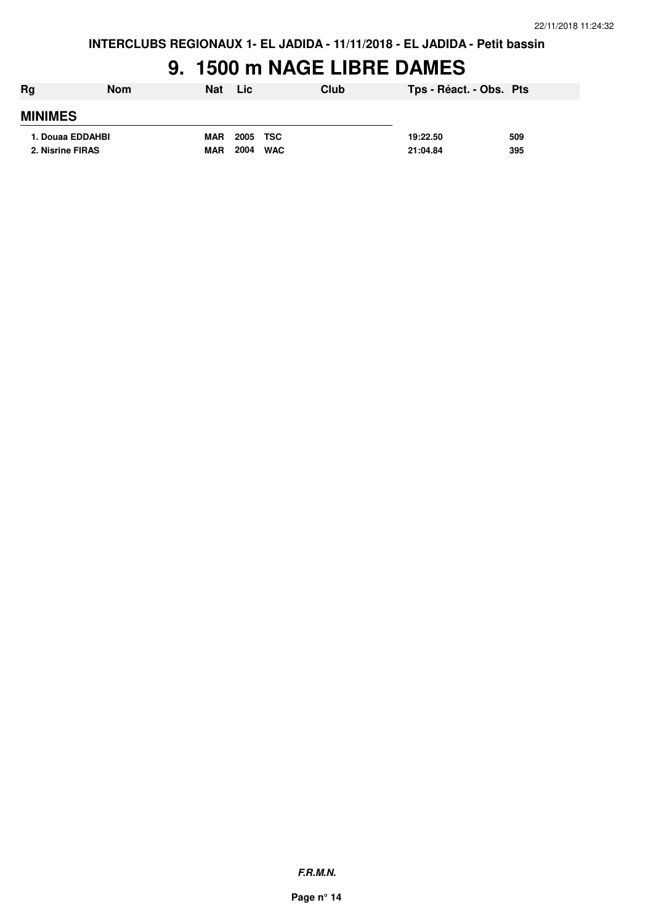## **9. 1500 m NAGE LIBRE DAMES**

| Rg               | <b>Nom</b>       | <b>Nat</b> | <b>Lic</b>         | Club | Tps - Réact. - Obs. Pts |     |
|------------------|------------------|------------|--------------------|------|-------------------------|-----|
| <b>MINIMES</b>   |                  |            |                    |      |                         |     |
|                  | 1. Douaa EDDAHBI | <b>MAR</b> | 2005<br>TSC        |      | 19:22.50                | 509 |
| 2. Nisrine FIRAS |                  | <b>MAR</b> | 2004<br><b>WAC</b> |      | 21:04.84                | 395 |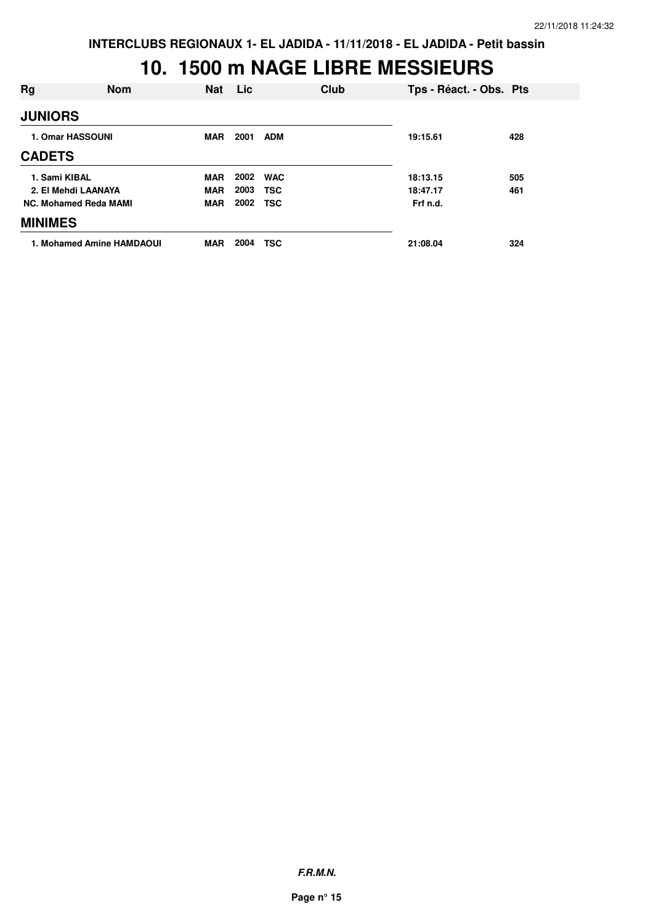| Rg                           | <b>Nom</b>                | <b>Nat</b> | <b>Lic</b> |            | Club | Tps - Réact. - Obs. Pts |     |
|------------------------------|---------------------------|------------|------------|------------|------|-------------------------|-----|
| <b>JUNIORS</b>               |                           |            |            |            |      |                         |     |
| 1. Omar HASSOUNI             |                           | MAR        | 2001       | <b>ADM</b> |      | 19:15.61                | 428 |
| <b>CADETS</b>                |                           |            |            |            |      |                         |     |
| 1. Sami KIBAL                |                           | <b>MAR</b> | 2002       | <b>WAC</b> |      | 18:13.15                | 505 |
| 2. El Mehdi LAANAYA          |                           | <b>MAR</b> | 2003       | <b>TSC</b> |      | 18:47.17                | 461 |
| <b>NC. Mohamed Reda MAMI</b> |                           | MAR        | 2002       | <b>TSC</b> |      | Frf n.d.                |     |
| <b>MINIMES</b>               |                           |            |            |            |      |                         |     |
|                              | 1. Mohamed Amine HAMDAOUI | <b>MAR</b> | 2004       | <b>TSC</b> |      | 21:08.04                | 324 |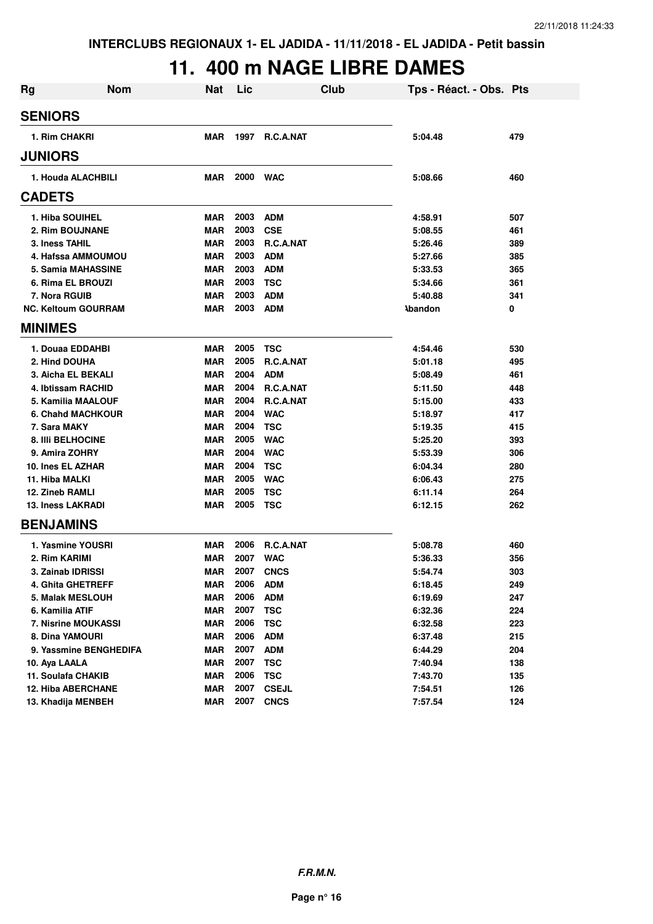## **11. 400 m NAGE LIBRE DAMES**

| <b>Rg</b>        | <b>Nom</b>                 | <b>Nat</b> | Lic          | <b>Club</b>      | Tps - Réact. - Obs. Pts |     |
|------------------|----------------------------|------------|--------------|------------------|-------------------------|-----|
| <b>SENIORS</b>   |                            |            |              |                  |                         |     |
|                  | 1. Rim CHAKRI              | MAR        | 1997         | <b>R.C.A.NAT</b> | 5:04.48                 | 479 |
| <b>JUNIORS</b>   |                            |            |              |                  |                         |     |
|                  | 1. Houda ALACHBILI         | MAR        | 2000         | <b>WAC</b>       | 5:08.66                 | 460 |
| <b>CADETS</b>    |                            |            |              |                  |                         |     |
|                  | 1. Hiba SOUIHEL            | MAR        | 2003         | <b>ADM</b>       | 4:58.91                 | 507 |
|                  | <b>2. Rim BOUJNANE</b>     | <b>MAR</b> | 2003         | <b>CSE</b>       | 5:08.55                 | 461 |
|                  | 3. Iness TAHIL             | <b>MAR</b> | 2003         | R.C.A.NAT        | 5:26.46                 | 389 |
|                  | 4. Hafssa AMMOUMOU         | <b>MAR</b> | 2003         | <b>ADM</b>       | 5:27.66                 | 385 |
|                  | 5. Samia MAHASSINE         | MAR        | 2003         | <b>ADM</b>       | 5:33.53                 | 365 |
|                  | 6. Rima EL BROUZI          | MAR        | 2003         | <b>TSC</b>       | 5:34.66                 | 361 |
|                  | 7. Nora RGUIB              | <b>MAR</b> | 2003         | <b>ADM</b>       | 5:40.88                 | 341 |
|                  | <b>NC. Keltoum GOURRAM</b> | <b>MAR</b> | 2003         | <b>ADM</b>       | <b>Abandon</b>          | 0   |
| <b>MINIMES</b>   |                            |            |              |                  |                         |     |
|                  | 1. Douaa EDDAHBI           | <b>MAR</b> | 2005         | <b>TSC</b>       | 4:54.46                 | 530 |
|                  | 2. Hind DOUHA              | <b>MAR</b> | 2005         | R.C.A.NAT        | 5:01.18                 | 495 |
|                  | 3. Aicha EL BEKALI         | MAR        | 2004         | <b>ADM</b>       | 5:08.49                 | 461 |
|                  | 4. Ibtissam RACHID         | MAR        | 2004         | R.C.A.NAT        | 5:11.50                 | 448 |
|                  | 5. Kamilia MAALOUF         | <b>MAR</b> | 2004         | R.C.A.NAT        | 5:15.00                 | 433 |
|                  | 6. Chahd MACHKOUR          | <b>MAR</b> | 2004         | <b>WAC</b>       | 5:18.97                 | 417 |
|                  | 7. Sara MAKY               | <b>MAR</b> | 2004         | <b>TSC</b>       | 5:19.35                 | 415 |
|                  | <b>8. IIII BELHOCINE</b>   | <b>MAR</b> | 2005         | <b>WAC</b>       | 5:25.20                 | 393 |
|                  | 9. Amira ZOHRY             | <b>MAR</b> | 2004         | <b>WAC</b>       | 5:53.39                 | 306 |
|                  | 10. Ines EL AZHAR          | <b>MAR</b> | 2004         | <b>TSC</b>       | 6:04.34                 | 280 |
| 11. Hiba MALKI   |                            | <b>MAR</b> | 2005         | <b>WAC</b>       | 6:06.43                 | 275 |
|                  | 12. Zineb RAMLI            | <b>MAR</b> | 2005         | <b>TSC</b>       | 6:11.14                 | 264 |
|                  | <b>13. Iness LAKRADI</b>   | <b>MAR</b> | 2005         | <b>TSC</b>       | 6:12.15                 | 262 |
| <b>BENJAMINS</b> |                            |            |              |                  |                         |     |
|                  |                            |            |              |                  |                         |     |
|                  | 1. Yasmine YOUSRI          | MAR        | 2006<br>2007 | <b>R.C.A.NAT</b> | 5:08.78                 | 460 |
|                  | 2. Rim KARIMI              | MAR        | 2007         | <b>WAC</b>       | 5:36.33                 | 356 |
|                  | 3. Zainab IDRISSI          | <b>MAR</b> |              | <b>CNCS</b>      | 5:54.74                 | 303 |
|                  | 4. Ghita GHETREFF          | MAR        | 2006         | <b>ADM</b>       | 6:18.45                 | 249 |
|                  | 5. Malak MESLOUH           | MAR        | 2006         | <b>ADM</b>       | 6:19.69                 | 247 |
|                  | 6. Kamilia ATIF            | <b>MAR</b> | 2007         | <b>TSC</b>       | 6:32.36                 | 224 |
|                  | 7. Nisrine MOUKASSI        | MAR        | 2006         | <b>TSC</b>       | 6:32.58                 | 223 |
|                  | 8. Dina YAMOURI            | MAR        | 2006         | <b>ADM</b>       | 6:37.48                 | 215 |
|                  | 9. Yassmine BENGHEDIFA     | MAR        | 2007         | <b>ADM</b>       | 6:44.29                 | 204 |
| 10. Aya LAALA    |                            | MAR        | 2007         | <b>TSC</b>       | 7:40.94                 | 138 |
|                  | 11. Soulafa CHAKIB         | MAR        | 2006         | <b>TSC</b>       | 7:43.70                 | 135 |
|                  | <b>12. Hiba ABERCHANE</b>  | MAR        | 2007         | <b>CSEJL</b>     | 7:54.51                 | 126 |
|                  | 13. Khadija MENBEH         | <b>MAR</b> | 2007         | <b>CNCS</b>      | 7:57.54                 | 124 |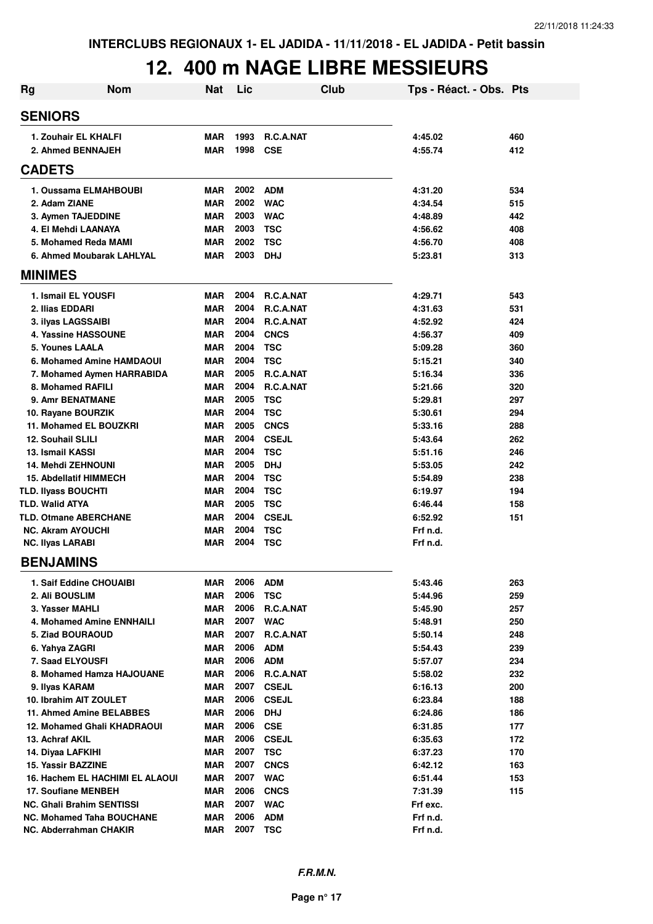| <b>Rg</b>                     | <b>Nom</b>                                                 | <b>Nat</b>               | Lic          |                          | Club | Tps - Réact. - Obs. Pts |     |
|-------------------------------|------------------------------------------------------------|--------------------------|--------------|--------------------------|------|-------------------------|-----|
| <b>SENIORS</b>                |                                                            |                          |              |                          |      |                         |     |
| 1. Zouhair EL KHALFI          |                                                            | <b>MAR</b>               | 1993         | R.C.A.NAT                |      | 4:45.02                 | 460 |
| 2. Ahmed BENNAJEH             |                                                            | MAR                      | 1998         | <b>CSE</b>               |      | 4:55.74                 | 412 |
| <b>CADETS</b>                 |                                                            |                          |              |                          |      |                         |     |
|                               | 1. Oussama ELMAHBOUBI                                      | <b>MAR</b>               | 2002         | <b>ADM</b>               |      | 4:31.20                 | 534 |
| 2. Adam ZIANE                 |                                                            | <b>MAR</b>               | 2002         | <b>WAC</b>               |      | 4:34.54                 | 515 |
| 3. Aymen TAJEDDINE            |                                                            | <b>MAR</b>               | 2003         | <b>WAC</b>               |      | 4:48.89                 | 442 |
| 4. El Mehdi LAANAYA           |                                                            | <b>MAR</b>               | 2003         | <b>TSC</b>               |      | 4:56.62                 | 408 |
|                               | 5. Mohamed Reda MAMI                                       | <b>MAR</b>               | 2002         | <b>TSC</b>               |      | 4:56.70                 | 408 |
|                               | 6. Ahmed Moubarak LAHLYAL                                  | <b>MAR</b>               | 2003         | <b>DHJ</b>               |      | 5:23.81                 | 313 |
| <b>MINIMES</b>                |                                                            |                          |              |                          |      |                         |     |
| 1. Ismail EL YOUSFI           |                                                            | <b>MAR</b>               | 2004         | R.C.A.NAT                |      | 4:29.71                 | 543 |
| 2. Ilias EDDARI               |                                                            | <b>MAR</b>               | 2004         | R.C.A.NAT                |      | 4:31.63                 | 531 |
| 3. ilyas LAGSSAIBI            |                                                            | <b>MAR</b>               | 2004         | R.C.A.NAT                |      | 4:52.92                 | 424 |
|                               | 4. Yassine HASSOUNE                                        | <b>MAR</b>               | 2004         | <b>CNCS</b>              |      | 4:56.37                 | 409 |
| 5. Younes LAALA               |                                                            | <b>MAR</b>               | 2004         | <b>TSC</b>               |      | 5:09.28                 | 360 |
|                               | 6. Mohamed Amine HAMDAOUI                                  | <b>MAR</b>               | 2004         | <b>TSC</b>               |      | 5:15.21                 | 340 |
|                               | 7. Mohamed Aymen HARRABIDA                                 | <b>MAR</b>               | 2005         | R.C.A.NAT                |      | 5:16.34                 | 336 |
| 8. Mohamed RAFILI             |                                                            | <b>MAR</b>               | 2004         | R.C.A.NAT                |      | 5:21.66                 | 320 |
| 9. Amr BENATMANE              |                                                            | <b>MAR</b>               | 2005         | <b>TSC</b>               |      | 5:29.81                 | 297 |
| 10. Rayane BOURZIK            |                                                            | <b>MAR</b>               | 2004         | <b>TSC</b>               |      | 5:30.61                 | 294 |
|                               | 11. Mohamed EL BOUZKRI                                     | <b>MAR</b>               | 2005         | <b>CNCS</b>              |      | 5:33.16                 | 288 |
| <b>12. Souhail SLILI</b>      |                                                            | <b>MAR</b>               | 2004         | <b>CSEJL</b>             |      | 5:43.64                 | 262 |
| 13. Ismail KASSI              |                                                            | <b>MAR</b>               | 2004         | <b>TSC</b>               |      | 5:51.16                 | 246 |
| <b>14. Mehdi ZEHNOUNI</b>     |                                                            | <b>MAR</b>               | 2005         | <b>DHJ</b>               |      | 5:53.05                 | 242 |
| <b>15. Abdellatif HIMMECH</b> |                                                            | <b>MAR</b>               | 2004         | <b>TSC</b>               |      | 5:54.89                 | 238 |
| TLD. Ilyass BOUCHTI           |                                                            | <b>MAR</b>               | 2004         | <b>TSC</b>               |      | 6:19.97                 | 194 |
| <b>TLD. Walid ATYA</b>        |                                                            | <b>MAR</b>               | 2005         | <b>TSC</b>               |      | 6:46.44                 | 158 |
| <b>TLD. Otmane ABERCHANE</b>  |                                                            | <b>MAR</b>               | 2004         | <b>CSEJL</b>             |      | 6:52.92                 | 151 |
| <b>NC. Akram AYOUCHI</b>      |                                                            | <b>MAR</b>               | 2004         | <b>TSC</b>               |      | Frf n.d.                |     |
| <b>NC. Ilyas LARABI</b>       |                                                            | MAR                      | 2004         | <b>TSC</b>               |      | Frf n.d.                |     |
| <b>BENJAMINS</b>              |                                                            |                          |              |                          |      |                         |     |
|                               | 1. Saif Eddine CHOUAIBI                                    | <b>MAR</b>               | 2006         | <b>ADM</b>               |      | 5:43.46                 | 263 |
| 2. Ali BOUSLIM                |                                                            | <b>MAR</b>               | 2006         | <b>TSC</b>               |      | 5:44.96                 | 259 |
| 3. Yasser MAHLI               |                                                            | <b>MAR</b>               | 2006         | R.C.A.NAT                |      | 5:45.90                 | 257 |
|                               | 4. Mohamed Amine ENNHAILI                                  | <b>MAR</b>               | 2007         | <b>WAC</b>               |      | 5:48.91                 | 250 |
| 5. Ziad BOURAOUD              |                                                            | <b>MAR</b>               | 2007         | R.C.A.NAT                |      | 5:50.14                 | 248 |
| 6. Yahya ZAGRI                |                                                            | <b>MAR</b>               | 2006         | <b>ADM</b>               |      | 5:54.43                 | 239 |
| 7. Saad ELYOUSFI              |                                                            | MAR                      | 2006         | <b>ADM</b>               |      | 5:57.07                 | 234 |
|                               | 8. Mohamed Hamza HAJOUANE                                  | <b>MAR</b>               | 2006         | R.C.A.NAT                |      | 5:58.02                 | 232 |
| 9. Ilyas KARAM                |                                                            | MAR                      | 2007         | <b>CSEJL</b>             |      | 6:16.13                 | 200 |
| 10. Ibrahim AIT ZOULET        |                                                            | MAR                      | 2006         | <b>CSEJL</b>             |      | 6:23.84                 | 188 |
|                               | 11. Ahmed Amine BELABBES                                   | MAR                      | 2006         | <b>DHJ</b>               |      | 6:24.86                 | 186 |
|                               | 12. Mohamed Ghali KHADRAOUI                                | MAR                      | 2006         | <b>CSE</b>               |      | 6:31.85                 | 177 |
| 13. Achraf AKIL               |                                                            | MAR                      | 2006         | <b>CSEJL</b>             |      | 6:35.63                 | 172 |
| 14. Diyaa LAFKIHI             |                                                            | <b>MAR</b>               | 2007         | <b>TSC</b>               |      | 6:37.23                 | 170 |
| 15. Yassir BAZZINE            |                                                            | MAR                      | 2007         | <b>CNCS</b>              |      | 6:42.12                 | 163 |
|                               | 16. Hachem EL HACHIMI EL ALAOUI                            | <b>MAR</b>               | 2007         | <b>WAC</b>               |      | 6:51.44                 | 153 |
| 17. Soufiane MENBEH           |                                                            | <b>MAR</b>               | 2006         | <b>CNCS</b>              |      | 7:31.39                 | 115 |
|                               | <b>NC. Ghali Brahim SENTISSI</b>                           | <b>MAR</b>               | 2007<br>2006 | <b>WAC</b>               |      | Frf exc.                |     |
|                               | <b>NC. Mohamed Taha BOUCHANE</b><br>NC. Abderrahman CHAKIR | <b>MAR</b><br><b>MAR</b> | 2007         | <b>ADM</b><br><b>TSC</b> |      | Frf n.d.<br>Frf n.d.    |     |
|                               |                                                            |                          |              |                          |      |                         |     |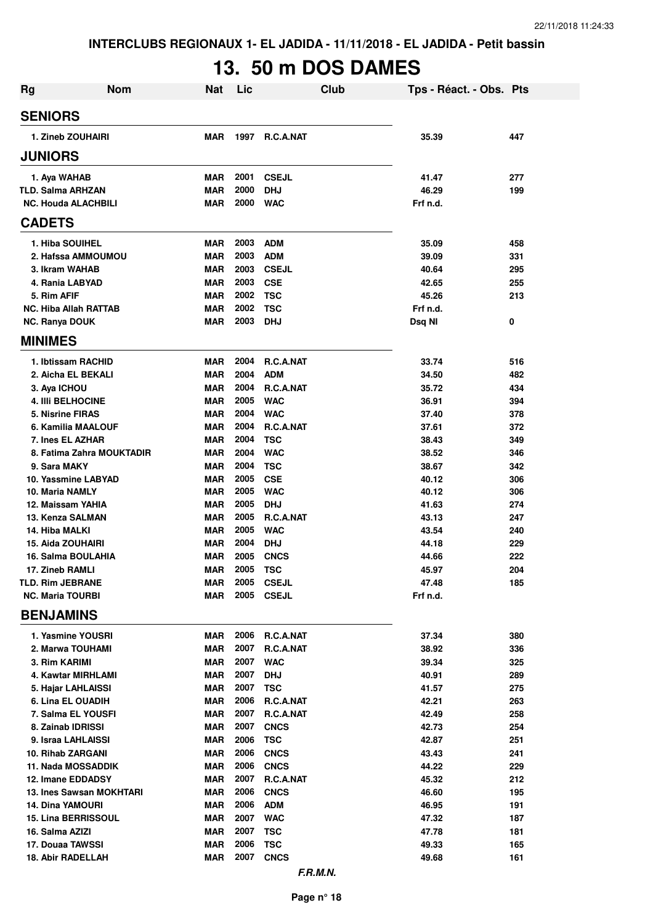# **13. 50 m DOS DAMES**

| <b>Rg</b>                                    | <b>Nom</b>                | Nat               | Lic          | Club                      |                | Tps - Réact. - Obs. Pts |
|----------------------------------------------|---------------------------|-------------------|--------------|---------------------------|----------------|-------------------------|
| <b>SENIORS</b>                               |                           |                   |              |                           |                |                         |
| 1. Zineb ZOUHAIRI                            |                           | <b>MAR</b>        | 1997         | <b>R.C.A.NAT</b>          | 35.39          | 447                     |
| <b>JUNIORS</b>                               |                           |                   |              |                           |                |                         |
| 1. Aya WAHAB                                 |                           | <b>MAR</b>        | 2001         | <b>CSEJL</b>              | 41.47          | 277                     |
| TLD. Salma ARHZAN                            |                           | <b>MAR</b>        | 2000         | <b>DHJ</b>                | 46.29          | 199                     |
| <b>NC. Houda ALACHBILI</b>                   |                           | <b>MAR</b>        | 2000         | <b>WAC</b>                | Frf n.d.       |                         |
| <b>CADETS</b>                                |                           |                   |              |                           |                |                         |
| 1. Hiba SOUIHEL                              |                           | <b>MAR</b>        | 2003         | <b>ADM</b>                | 35.09          | 458                     |
| 2. Hafssa AMMOUMOU                           |                           | <b>MAR</b>        | 2003         | <b>ADM</b>                | 39.09          | 331                     |
| 3. Ikram WAHAB                               |                           | <b>MAR</b>        | 2003         | <b>CSEJL</b>              | 40.64          | 295                     |
| 4. Rania LABYAD                              |                           | <b>MAR</b>        | 2003         | <b>CSE</b>                | 42.65          | 255                     |
| 5. Rim AFIF                                  |                           | <b>MAR</b>        | 2002         | <b>TSC</b>                | 45.26          | 213                     |
| <b>NC. Hiba Allah RATTAB</b>                 |                           | <b>MAR</b>        | 2002         | <b>TSC</b>                | Frf n.d.       |                         |
| <b>NC. Ranya DOUK</b>                        |                           | <b>MAR</b>        | 2003         | <b>DHJ</b>                | Dsq NI         | 0                       |
| <b>MINIMES</b>                               |                           |                   |              |                           |                |                         |
| 1. Ibtissam RACHID                           |                           | <b>MAR</b>        | 2004         | <b>R.C.A.NAT</b>          | 33.74          | 516                     |
| 2. Aicha EL BEKALI                           |                           | <b>MAR</b>        | 2004         | <b>ADM</b>                | 34.50          | 482                     |
| 3. Aya ICHOU                                 |                           | <b>MAR</b>        | 2004         | R.C.A.NAT                 | 35.72          | 434                     |
| <b>4. IIII BELHOCINE</b>                     |                           | <b>MAR</b>        | 2005         | <b>WAC</b>                | 36.91          | 394                     |
| 5. Nisrine FIRAS                             |                           | <b>MAR</b>        | 2004         | <b>WAC</b>                | 37.40          | 378                     |
| 6. Kamilia MAALOUF                           |                           | <b>MAR</b>        | 2004         | R.C.A.NAT                 | 37.61          | 372                     |
| 7. Ines EL AZHAR                             |                           | <b>MAR</b>        | 2004         | <b>TSC</b>                | 38.43          | 349                     |
|                                              | 8. Fatima Zahra MOUKTADIR | MAR               | 2004         | <b>WAC</b>                | 38.52          | 346                     |
| 9. Sara MAKY                                 |                           | <b>MAR</b>        | 2004         | <b>TSC</b>                | 38.67          | 342                     |
| 10. Yassmine LABYAD                          |                           | <b>MAR</b>        | 2005         | <b>CSE</b>                | 40.12          | 306                     |
| 10. Maria NAMLY                              |                           | MAR<br><b>MAR</b> | 2005<br>2005 | <b>WAC</b>                | 40.12          | 306                     |
| 12. Maissam YAHIA<br>13. Kenza SALMAN        |                           | <b>MAR</b>        | 2005         | <b>DHJ</b><br>R.C.A.NAT   | 41.63<br>43.13 | 274<br>247              |
| 14. Hiba MALKI                               |                           | <b>MAR</b>        | 2005         | <b>WAC</b>                | 43.54          | 240                     |
| 15. Aida ZOUHAIRI                            |                           | MAR               | 2004         | <b>DHJ</b>                | 44.18          | 229                     |
| 16. Salma BOULAHIA                           |                           | MAR               | 2005         | <b>CNCS</b>               | 44.66          | 222                     |
| 17. Zineb RAMLI                              |                           | MAR               | 2005         | <b>TSC</b>                | 45.97          | 204                     |
| <b>TLD. Rim JEBRANE</b>                      |                           | MAR               |              | 2005 CSEJL                | 47.48          | 185                     |
| <b>NC. Maria TOURBI</b>                      |                           | MAR               | 2005         | <b>CSEJL</b>              | Frf n.d.       |                         |
| <b>BENJAMINS</b>                             |                           |                   |              |                           |                |                         |
| 1. Yasmine YOUSRI                            |                           | MAR               |              | 2006 R.C.A.NAT            | 37.34          | 380                     |
| 2. Marwa TOUHAMI                             |                           | MAR               | 2007         | R.C.A.NAT                 | 38.92          | 336                     |
| 3. Rim KARIMI                                |                           | MAR               | 2007         | <b>WAC</b>                | 39.34          | 325                     |
| 4. Kawtar MIRHLAMI                           |                           | MAR               | 2007         | <b>DHJ</b>                | 40.91          | 289                     |
| 5. Hajar LAHLAISSI                           |                           | MAR               | 2007         | <b>TSC</b>                | 41.57          | 275                     |
| 6. Lina EL OUADIH                            |                           | MAR               | 2006         | R.C.A.NAT                 | 42.21          | 263                     |
| 7. Salma EL YOUSFI                           |                           | MAR               | 2007         | R.C.A.NAT                 | 42.49          | 258                     |
| 8. Zainab IDRISSI                            |                           | MAR               | 2007         | <b>CNCS</b>               | 42.73          | 254                     |
| 9. Israa LAHLAISSI                           |                           | MAR               | 2006         | <b>TSC</b>                | 42.87          | 251                     |
| 10. Rihab ZARGANI                            |                           | MAR               | 2006         | <b>CNCS</b>               | 43.43          | 241                     |
| 11. Nada MOSSADDIK                           |                           | <b>MAR</b>        | 2006         | <b>CNCS</b>               | 44.22          | 229                     |
| 12. Imane EDDADSY                            |                           | MAR               | 2007         | R.C.A.NAT                 | 45.32          | 212                     |
| 13. Ines Sawsan MOKHTARI                     |                           | <b>MAR</b>        | 2006         | <b>CNCS</b>               | 46.60          | 195                     |
| <b>14. Dina YAMOURI</b>                      |                           | MAR               | 2006         | <b>ADM</b>                | 46.95          | 191                     |
| 15. Lina BERRISSOUL                          |                           | <b>MAR</b>        | 2007         | <b>WAC</b>                | 47.32          | 187                     |
| 16. Salma AZIZI                              |                           | <b>MAR</b>        | 2007<br>2006 | <b>TSC</b>                | 47.78          | 181                     |
| 17. Douaa TAWSSI<br><b>18. Abir RADELLAH</b> |                           | <b>MAR</b><br>MAR | 2007         | <b>TSC</b><br><b>CNCS</b> | 49.33<br>49.68 | 165<br>161              |
|                                              |                           |                   |              | F.R.M.N.                  |                |                         |
|                                              |                           |                   |              |                           |                |                         |

**Page n° 18**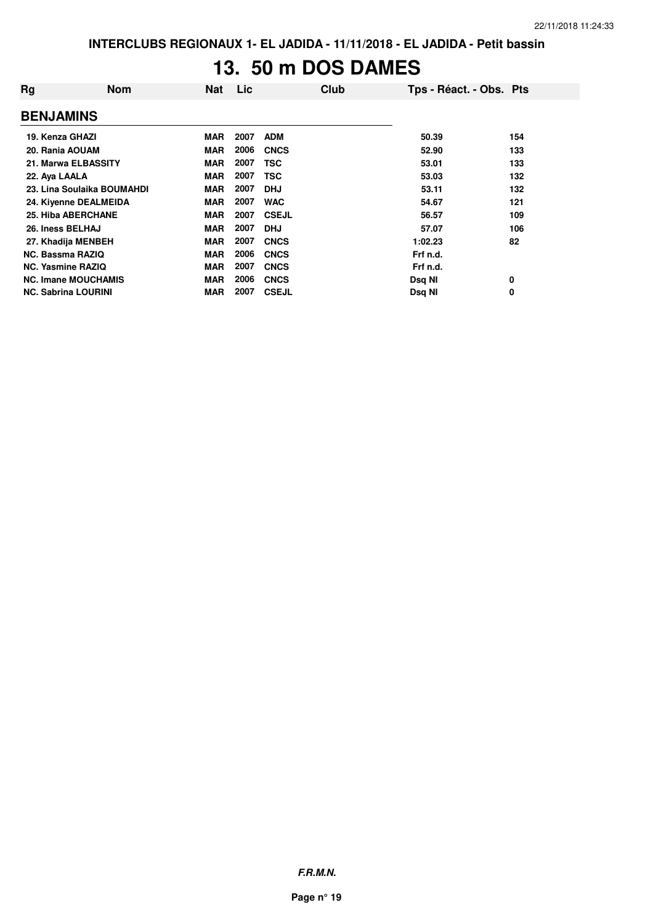## **13. 50 m DOS DAMES**

| Rg                         | <b>Nom</b> | <b>Nat</b> | Lic  | Club         | Tps - Réact. - Obs. Pts |     |
|----------------------------|------------|------------|------|--------------|-------------------------|-----|
| <b>BENJAMINS</b>           |            |            |      |              |                         |     |
| 19. Kenza GHAZI            |            | <b>MAR</b> | 2007 | <b>ADM</b>   | 50.39                   | 154 |
| 20. Rania AOUAM            |            | <b>MAR</b> | 2006 | <b>CNCS</b>  | 52.90                   | 133 |
| 21. Marwa ELBASSITY        |            | <b>MAR</b> | 2007 | <b>TSC</b>   | 53.01                   | 133 |
| 22. Aya LAALA              |            | <b>MAR</b> | 2007 | <b>TSC</b>   | 53.03                   | 132 |
| 23. Lina Soulaika BOUMAHDI |            | <b>MAR</b> | 2007 | <b>DHJ</b>   | 53.11                   | 132 |
| 24. Kiyenne DEALMEIDA      |            | <b>MAR</b> | 2007 | <b>WAC</b>   | 54.67                   | 121 |
| 25. Hiba ABERCHANE         |            | <b>MAR</b> | 2007 | <b>CSEJL</b> | 56.57                   | 109 |
| 26. Iness BELHAJ           |            | <b>MAR</b> | 2007 | <b>DHJ</b>   | 57.07                   | 106 |
| 27. Khadija MENBEH         |            | <b>MAR</b> | 2007 | <b>CNCS</b>  | 1:02.23                 | 82  |
| <b>NC. Bassma RAZIQ</b>    |            | <b>MAR</b> | 2006 | <b>CNCS</b>  | Frf n.d.                |     |
| <b>NC. Yasmine RAZIQ</b>   |            | <b>MAR</b> | 2007 | <b>CNCS</b>  | Frf n.d.                |     |
| <b>NC. Imane MOUCHAMIS</b> |            | <b>MAR</b> | 2006 | <b>CNCS</b>  | Dsq NI                  | 0   |
| <b>NC. Sabrina LOURINI</b> |            | <b>MAR</b> | 2007 | <b>CSEJL</b> | Dsq NI                  | 0   |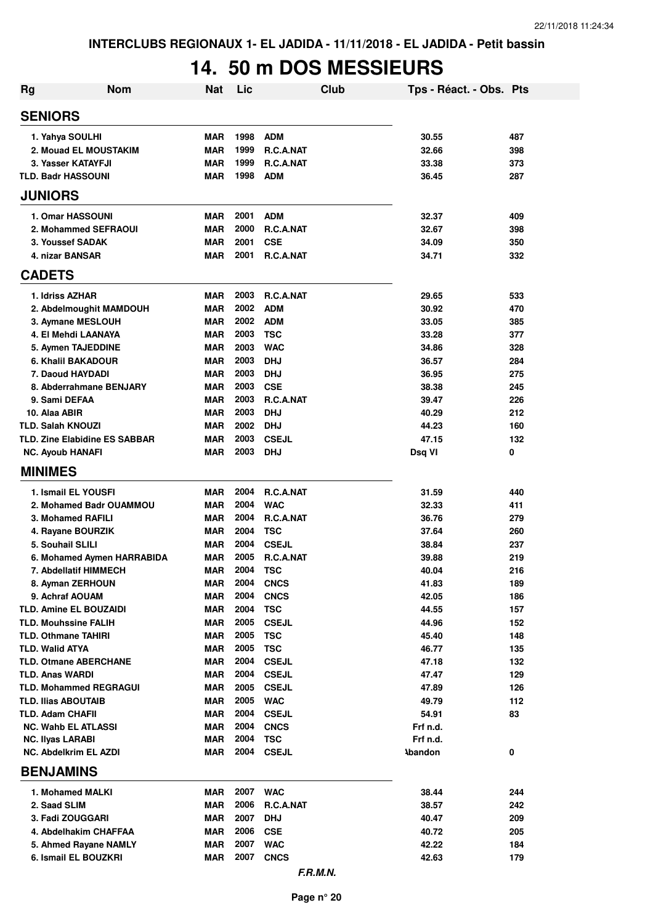# **14. 50 m DOS MESSIEURS**

| 1998<br><b>ADM</b><br><b>MAR</b><br>30.55<br>487<br>1. Yahya SOULHI<br>1999<br>R.C.A.NAT<br>32.66<br>398<br>2. Mouad EL MOUSTAKIM<br><b>MAR</b><br>1999<br><b>MAR</b><br>R.C.A.NAT<br>33.38<br>373<br>3. Yasser KATAYFJI<br>1998<br><b>TLD. Badr HASSOUNI</b><br><b>MAR</b><br><b>ADM</b><br>36.45<br>287<br>2001<br>1. Omar HASSOUNI<br><b>MAR</b><br><b>ADM</b><br>32.37<br>409<br>2000<br><b>MAR</b><br><b>R.C.A.NAT</b><br>32.67<br>398<br>2. Mohammed SEFRAOUI<br>2001<br>350<br>3. Youssef SADAK<br><b>MAR</b><br><b>CSE</b><br>34.09<br>2001<br>34.71<br>4. nizar BANSAR<br><b>MAR</b><br>R.C.A.NAT<br>332<br>2003<br>1. Idriss AZHAR<br><b>MAR</b><br>R.C.A.NAT<br>29.65<br>533<br><b>MAR</b><br>2002<br>30.92<br>470<br>2. Abdelmoughit MAMDOUH<br><b>ADM</b><br>2002<br><b>MAR</b><br><b>ADM</b><br>33.05<br>3. Aymane MESLOUH<br>385<br>2003<br><b>MAR</b><br><b>TSC</b><br>33.28<br>377<br>4. El Mehdi LAANAYA<br>2003<br><b>WAC</b><br>34.86<br><b>MAR</b><br>328<br>5. Aymen TAJEDDINE<br><b>MAR</b><br>2003<br><b>DHJ</b><br>6. Khalil BAKADOUR<br>36.57<br>284<br>2003<br><b>MAR</b><br><b>DHJ</b><br>36.95<br>275<br>7. Daoud HAYDADI<br>2003<br>8. Abderrahmane BENJARY<br><b>MAR</b><br><b>CSE</b><br>38.38<br>245<br>2003<br><b>R.C.A.NAT</b><br>9. Sami DEFAA<br><b>MAR</b><br>39.47<br>226<br>2003<br>10. Alaa ABIR<br><b>MAR</b><br><b>DHJ</b><br>40.29<br>212<br>2002<br><b>DHJ</b><br>44.23<br><b>TLD. Salah KNOUZI</b><br><b>MAR</b><br>160<br>TLD. Zine Elabidine ES SABBAR<br>2003<br><b>CSEJL</b><br><b>MAR</b><br>47.15<br>132<br><b>MAR</b><br>2003<br><b>DHJ</b><br>Dsq VI<br>0<br><b>NC. Ayoub HANAFI</b><br>2004<br>1. Ismail EL YOUSFI<br><b>MAR</b><br><b>R.C.A.NAT</b><br>31.59<br>440<br>2004<br>2. Mohamed Badr OUAMMOU<br><b>MAR</b><br><b>WAC</b><br>32.33<br>411<br>2004<br>3. Mohamed RAFILI<br><b>MAR</b><br>R.C.A.NAT<br>36.76<br>279<br>2004<br><b>MAR</b><br>TSC<br>37.64<br>260<br>4. Rayane BOURZIK<br>2004<br>5. Souhail SLILI<br><b>MAR</b><br><b>CSEJL</b><br>237<br>38.84<br>2005<br><b>MAR</b><br>R.C.A.NAT<br>6. Mohamed Aymen HARRABIDA<br>39.88<br>219<br>2004<br><b>MAR</b><br><b>TSC</b><br>216<br>7. Abdellatif HIMMECH<br>40.04<br>2004<br>8. Ayman ZERHOUN<br><b>MAR</b><br><b>CNCS</b><br>41.83<br>189<br>2004<br><b>MAR</b><br><b>CNCS</b><br>42.05<br>9. Achraf AOUAM<br>186<br>2004<br><b>TLD. Amine EL BOUZAIDI</b><br><b>MAR</b><br><b>TSC</b><br>44.55<br>157<br><b>MAR</b><br>2005<br><b>TLD. Mouhssine FALIH</b><br><b>CSEJL</b><br>44.96<br>152<br><b>MAR</b><br>2005<br><b>TSC</b><br><b>TLD. Othmane TAHIRI</b><br>45.40<br>148<br><b>MAR</b><br>2005<br><b>TSC</b><br>46.77<br><b>TLD. Walid ATYA</b><br>135<br>2004<br><b>TLD. Otmane ABERCHANE</b><br><b>MAR</b><br><b>CSEJL</b><br>47.18<br>132<br>2004<br><b>TLD. Anas WARDI</b><br>MAR<br><b>CSEJL</b><br>47.47<br>129<br>2005<br><b>TLD. Mohammed REGRAGUI</b><br>MAR<br><b>CSEJL</b><br>47.89<br>126<br>2005<br><b>MAR</b><br><b>WAC</b><br>112<br><b>TLD. Ilias ABOUTAIB</b><br>49.79<br>TLD. Adam CHAFII<br>2004<br>MAR<br><b>CSEJL</b><br>54.91<br>83<br>2004<br><b>MAR</b><br><b>CNCS</b><br><b>NC. Wahb EL ATLASSI</b><br>Frf n.d.<br>2004<br><b>TSC</b><br><b>NC. Ilyas LARABI</b><br>MAR<br>Frf n.d.<br><b>NC. Abdelkrim EL AZDI</b><br>MAR<br>2004<br><b>CSEJL</b><br><b>Abandon</b><br>0<br><b>BENJAMINS</b><br>1. Mohamed MALKI<br>2007 WAC<br>MAR<br>38.44<br>244<br>2006<br>R.C.A.NAT<br>2. Saad SLIM<br>MAR<br>38.57<br>242<br>2007<br>3. Fadi ZOUGGARI<br><b>MAR</b><br><b>DHJ</b><br>40.47<br>209<br>2006<br><b>CSE</b><br>4. Abdelhakim CHAFFAA<br>MAR<br>40.72<br>205<br>2007<br><b>WAC</b><br>42.22<br>5. Ahmed Rayane NAMLY<br><b>MAR</b><br>184<br>6. Ismail EL BOUZKRI<br>2007<br>MAR<br><b>CNCS</b><br>42.63<br>179<br>F.R.M.N. | <b>Rg</b>      | <b>Nom</b> | <b>Nat</b> | Lic | <b>Club</b> | Tps - Réact. - Obs. Pts |  |
|-----------------------------------------------------------------------------------------------------------------------------------------------------------------------------------------------------------------------------------------------------------------------------------------------------------------------------------------------------------------------------------------------------------------------------------------------------------------------------------------------------------------------------------------------------------------------------------------------------------------------------------------------------------------------------------------------------------------------------------------------------------------------------------------------------------------------------------------------------------------------------------------------------------------------------------------------------------------------------------------------------------------------------------------------------------------------------------------------------------------------------------------------------------------------------------------------------------------------------------------------------------------------------------------------------------------------------------------------------------------------------------------------------------------------------------------------------------------------------------------------------------------------------------------------------------------------------------------------------------------------------------------------------------------------------------------------------------------------------------------------------------------------------------------------------------------------------------------------------------------------------------------------------------------------------------------------------------------------------------------------------------------------------------------------------------------------------------------------------------------------------------------------------------------------------------------------------------------------------------------------------------------------------------------------------------------------------------------------------------------------------------------------------------------------------------------------------------------------------------------------------------------------------------------------------------------------------------------------------------------------------------------------------------------------------------------------------------------------------------------------------------------------------------------------------------------------------------------------------------------------------------------------------------------------------------------------------------------------------------------------------------------------------------------------------------------------------------------------------------------------------------------------------------------------------------------------------------------------------------------------------------------------------------------------------------------------------------------------------------------------------------------------------------------------------------------------------------------------------------------------------------------------------------------------------------------------------------------------------------------------------------------------------------------------------------------------------------------------------------------------------------------------------------------|----------------|------------|------------|-----|-------------|-------------------------|--|
|                                                                                                                                                                                                                                                                                                                                                                                                                                                                                                                                                                                                                                                                                                                                                                                                                                                                                                                                                                                                                                                                                                                                                                                                                                                                                                                                                                                                                                                                                                                                                                                                                                                                                                                                                                                                                                                                                                                                                                                                                                                                                                                                                                                                                                                                                                                                                                                                                                                                                                                                                                                                                                                                                                                                                                                                                                                                                                                                                                                                                                                                                                                                                                                                                                                                                                                                                                                                                                                                                                                                                                                                                                                                                                                                                                                         | <b>SENIORS</b> |            |            |     |             |                         |  |
|                                                                                                                                                                                                                                                                                                                                                                                                                                                                                                                                                                                                                                                                                                                                                                                                                                                                                                                                                                                                                                                                                                                                                                                                                                                                                                                                                                                                                                                                                                                                                                                                                                                                                                                                                                                                                                                                                                                                                                                                                                                                                                                                                                                                                                                                                                                                                                                                                                                                                                                                                                                                                                                                                                                                                                                                                                                                                                                                                                                                                                                                                                                                                                                                                                                                                                                                                                                                                                                                                                                                                                                                                                                                                                                                                                                         |                |            |            |     |             |                         |  |
|                                                                                                                                                                                                                                                                                                                                                                                                                                                                                                                                                                                                                                                                                                                                                                                                                                                                                                                                                                                                                                                                                                                                                                                                                                                                                                                                                                                                                                                                                                                                                                                                                                                                                                                                                                                                                                                                                                                                                                                                                                                                                                                                                                                                                                                                                                                                                                                                                                                                                                                                                                                                                                                                                                                                                                                                                                                                                                                                                                                                                                                                                                                                                                                                                                                                                                                                                                                                                                                                                                                                                                                                                                                                                                                                                                                         |                |            |            |     |             |                         |  |
|                                                                                                                                                                                                                                                                                                                                                                                                                                                                                                                                                                                                                                                                                                                                                                                                                                                                                                                                                                                                                                                                                                                                                                                                                                                                                                                                                                                                                                                                                                                                                                                                                                                                                                                                                                                                                                                                                                                                                                                                                                                                                                                                                                                                                                                                                                                                                                                                                                                                                                                                                                                                                                                                                                                                                                                                                                                                                                                                                                                                                                                                                                                                                                                                                                                                                                                                                                                                                                                                                                                                                                                                                                                                                                                                                                                         |                |            |            |     |             |                         |  |
|                                                                                                                                                                                                                                                                                                                                                                                                                                                                                                                                                                                                                                                                                                                                                                                                                                                                                                                                                                                                                                                                                                                                                                                                                                                                                                                                                                                                                                                                                                                                                                                                                                                                                                                                                                                                                                                                                                                                                                                                                                                                                                                                                                                                                                                                                                                                                                                                                                                                                                                                                                                                                                                                                                                                                                                                                                                                                                                                                                                                                                                                                                                                                                                                                                                                                                                                                                                                                                                                                                                                                                                                                                                                                                                                                                                         |                |            |            |     |             |                         |  |
|                                                                                                                                                                                                                                                                                                                                                                                                                                                                                                                                                                                                                                                                                                                                                                                                                                                                                                                                                                                                                                                                                                                                                                                                                                                                                                                                                                                                                                                                                                                                                                                                                                                                                                                                                                                                                                                                                                                                                                                                                                                                                                                                                                                                                                                                                                                                                                                                                                                                                                                                                                                                                                                                                                                                                                                                                                                                                                                                                                                                                                                                                                                                                                                                                                                                                                                                                                                                                                                                                                                                                                                                                                                                                                                                                                                         | <b>JUNIORS</b> |            |            |     |             |                         |  |
|                                                                                                                                                                                                                                                                                                                                                                                                                                                                                                                                                                                                                                                                                                                                                                                                                                                                                                                                                                                                                                                                                                                                                                                                                                                                                                                                                                                                                                                                                                                                                                                                                                                                                                                                                                                                                                                                                                                                                                                                                                                                                                                                                                                                                                                                                                                                                                                                                                                                                                                                                                                                                                                                                                                                                                                                                                                                                                                                                                                                                                                                                                                                                                                                                                                                                                                                                                                                                                                                                                                                                                                                                                                                                                                                                                                         |                |            |            |     |             |                         |  |
|                                                                                                                                                                                                                                                                                                                                                                                                                                                                                                                                                                                                                                                                                                                                                                                                                                                                                                                                                                                                                                                                                                                                                                                                                                                                                                                                                                                                                                                                                                                                                                                                                                                                                                                                                                                                                                                                                                                                                                                                                                                                                                                                                                                                                                                                                                                                                                                                                                                                                                                                                                                                                                                                                                                                                                                                                                                                                                                                                                                                                                                                                                                                                                                                                                                                                                                                                                                                                                                                                                                                                                                                                                                                                                                                                                                         |                |            |            |     |             |                         |  |
|                                                                                                                                                                                                                                                                                                                                                                                                                                                                                                                                                                                                                                                                                                                                                                                                                                                                                                                                                                                                                                                                                                                                                                                                                                                                                                                                                                                                                                                                                                                                                                                                                                                                                                                                                                                                                                                                                                                                                                                                                                                                                                                                                                                                                                                                                                                                                                                                                                                                                                                                                                                                                                                                                                                                                                                                                                                                                                                                                                                                                                                                                                                                                                                                                                                                                                                                                                                                                                                                                                                                                                                                                                                                                                                                                                                         |                |            |            |     |             |                         |  |
|                                                                                                                                                                                                                                                                                                                                                                                                                                                                                                                                                                                                                                                                                                                                                                                                                                                                                                                                                                                                                                                                                                                                                                                                                                                                                                                                                                                                                                                                                                                                                                                                                                                                                                                                                                                                                                                                                                                                                                                                                                                                                                                                                                                                                                                                                                                                                                                                                                                                                                                                                                                                                                                                                                                                                                                                                                                                                                                                                                                                                                                                                                                                                                                                                                                                                                                                                                                                                                                                                                                                                                                                                                                                                                                                                                                         |                |            |            |     |             |                         |  |
|                                                                                                                                                                                                                                                                                                                                                                                                                                                                                                                                                                                                                                                                                                                                                                                                                                                                                                                                                                                                                                                                                                                                                                                                                                                                                                                                                                                                                                                                                                                                                                                                                                                                                                                                                                                                                                                                                                                                                                                                                                                                                                                                                                                                                                                                                                                                                                                                                                                                                                                                                                                                                                                                                                                                                                                                                                                                                                                                                                                                                                                                                                                                                                                                                                                                                                                                                                                                                                                                                                                                                                                                                                                                                                                                                                                         | <b>CADETS</b>  |            |            |     |             |                         |  |
|                                                                                                                                                                                                                                                                                                                                                                                                                                                                                                                                                                                                                                                                                                                                                                                                                                                                                                                                                                                                                                                                                                                                                                                                                                                                                                                                                                                                                                                                                                                                                                                                                                                                                                                                                                                                                                                                                                                                                                                                                                                                                                                                                                                                                                                                                                                                                                                                                                                                                                                                                                                                                                                                                                                                                                                                                                                                                                                                                                                                                                                                                                                                                                                                                                                                                                                                                                                                                                                                                                                                                                                                                                                                                                                                                                                         |                |            |            |     |             |                         |  |
|                                                                                                                                                                                                                                                                                                                                                                                                                                                                                                                                                                                                                                                                                                                                                                                                                                                                                                                                                                                                                                                                                                                                                                                                                                                                                                                                                                                                                                                                                                                                                                                                                                                                                                                                                                                                                                                                                                                                                                                                                                                                                                                                                                                                                                                                                                                                                                                                                                                                                                                                                                                                                                                                                                                                                                                                                                                                                                                                                                                                                                                                                                                                                                                                                                                                                                                                                                                                                                                                                                                                                                                                                                                                                                                                                                                         |                |            |            |     |             |                         |  |
|                                                                                                                                                                                                                                                                                                                                                                                                                                                                                                                                                                                                                                                                                                                                                                                                                                                                                                                                                                                                                                                                                                                                                                                                                                                                                                                                                                                                                                                                                                                                                                                                                                                                                                                                                                                                                                                                                                                                                                                                                                                                                                                                                                                                                                                                                                                                                                                                                                                                                                                                                                                                                                                                                                                                                                                                                                                                                                                                                                                                                                                                                                                                                                                                                                                                                                                                                                                                                                                                                                                                                                                                                                                                                                                                                                                         |                |            |            |     |             |                         |  |
|                                                                                                                                                                                                                                                                                                                                                                                                                                                                                                                                                                                                                                                                                                                                                                                                                                                                                                                                                                                                                                                                                                                                                                                                                                                                                                                                                                                                                                                                                                                                                                                                                                                                                                                                                                                                                                                                                                                                                                                                                                                                                                                                                                                                                                                                                                                                                                                                                                                                                                                                                                                                                                                                                                                                                                                                                                                                                                                                                                                                                                                                                                                                                                                                                                                                                                                                                                                                                                                                                                                                                                                                                                                                                                                                                                                         |                |            |            |     |             |                         |  |
|                                                                                                                                                                                                                                                                                                                                                                                                                                                                                                                                                                                                                                                                                                                                                                                                                                                                                                                                                                                                                                                                                                                                                                                                                                                                                                                                                                                                                                                                                                                                                                                                                                                                                                                                                                                                                                                                                                                                                                                                                                                                                                                                                                                                                                                                                                                                                                                                                                                                                                                                                                                                                                                                                                                                                                                                                                                                                                                                                                                                                                                                                                                                                                                                                                                                                                                                                                                                                                                                                                                                                                                                                                                                                                                                                                                         |                |            |            |     |             |                         |  |
|                                                                                                                                                                                                                                                                                                                                                                                                                                                                                                                                                                                                                                                                                                                                                                                                                                                                                                                                                                                                                                                                                                                                                                                                                                                                                                                                                                                                                                                                                                                                                                                                                                                                                                                                                                                                                                                                                                                                                                                                                                                                                                                                                                                                                                                                                                                                                                                                                                                                                                                                                                                                                                                                                                                                                                                                                                                                                                                                                                                                                                                                                                                                                                                                                                                                                                                                                                                                                                                                                                                                                                                                                                                                                                                                                                                         |                |            |            |     |             |                         |  |
|                                                                                                                                                                                                                                                                                                                                                                                                                                                                                                                                                                                                                                                                                                                                                                                                                                                                                                                                                                                                                                                                                                                                                                                                                                                                                                                                                                                                                                                                                                                                                                                                                                                                                                                                                                                                                                                                                                                                                                                                                                                                                                                                                                                                                                                                                                                                                                                                                                                                                                                                                                                                                                                                                                                                                                                                                                                                                                                                                                                                                                                                                                                                                                                                                                                                                                                                                                                                                                                                                                                                                                                                                                                                                                                                                                                         |                |            |            |     |             |                         |  |
|                                                                                                                                                                                                                                                                                                                                                                                                                                                                                                                                                                                                                                                                                                                                                                                                                                                                                                                                                                                                                                                                                                                                                                                                                                                                                                                                                                                                                                                                                                                                                                                                                                                                                                                                                                                                                                                                                                                                                                                                                                                                                                                                                                                                                                                                                                                                                                                                                                                                                                                                                                                                                                                                                                                                                                                                                                                                                                                                                                                                                                                                                                                                                                                                                                                                                                                                                                                                                                                                                                                                                                                                                                                                                                                                                                                         |                |            |            |     |             |                         |  |
|                                                                                                                                                                                                                                                                                                                                                                                                                                                                                                                                                                                                                                                                                                                                                                                                                                                                                                                                                                                                                                                                                                                                                                                                                                                                                                                                                                                                                                                                                                                                                                                                                                                                                                                                                                                                                                                                                                                                                                                                                                                                                                                                                                                                                                                                                                                                                                                                                                                                                                                                                                                                                                                                                                                                                                                                                                                                                                                                                                                                                                                                                                                                                                                                                                                                                                                                                                                                                                                                                                                                                                                                                                                                                                                                                                                         |                |            |            |     |             |                         |  |
|                                                                                                                                                                                                                                                                                                                                                                                                                                                                                                                                                                                                                                                                                                                                                                                                                                                                                                                                                                                                                                                                                                                                                                                                                                                                                                                                                                                                                                                                                                                                                                                                                                                                                                                                                                                                                                                                                                                                                                                                                                                                                                                                                                                                                                                                                                                                                                                                                                                                                                                                                                                                                                                                                                                                                                                                                                                                                                                                                                                                                                                                                                                                                                                                                                                                                                                                                                                                                                                                                                                                                                                                                                                                                                                                                                                         |                |            |            |     |             |                         |  |
|                                                                                                                                                                                                                                                                                                                                                                                                                                                                                                                                                                                                                                                                                                                                                                                                                                                                                                                                                                                                                                                                                                                                                                                                                                                                                                                                                                                                                                                                                                                                                                                                                                                                                                                                                                                                                                                                                                                                                                                                                                                                                                                                                                                                                                                                                                                                                                                                                                                                                                                                                                                                                                                                                                                                                                                                                                                                                                                                                                                                                                                                                                                                                                                                                                                                                                                                                                                                                                                                                                                                                                                                                                                                                                                                                                                         |                |            |            |     |             |                         |  |
|                                                                                                                                                                                                                                                                                                                                                                                                                                                                                                                                                                                                                                                                                                                                                                                                                                                                                                                                                                                                                                                                                                                                                                                                                                                                                                                                                                                                                                                                                                                                                                                                                                                                                                                                                                                                                                                                                                                                                                                                                                                                                                                                                                                                                                                                                                                                                                                                                                                                                                                                                                                                                                                                                                                                                                                                                                                                                                                                                                                                                                                                                                                                                                                                                                                                                                                                                                                                                                                                                                                                                                                                                                                                                                                                                                                         |                |            |            |     |             |                         |  |
|                                                                                                                                                                                                                                                                                                                                                                                                                                                                                                                                                                                                                                                                                                                                                                                                                                                                                                                                                                                                                                                                                                                                                                                                                                                                                                                                                                                                                                                                                                                                                                                                                                                                                                                                                                                                                                                                                                                                                                                                                                                                                                                                                                                                                                                                                                                                                                                                                                                                                                                                                                                                                                                                                                                                                                                                                                                                                                                                                                                                                                                                                                                                                                                                                                                                                                                                                                                                                                                                                                                                                                                                                                                                                                                                                                                         | <b>MINIMES</b> |            |            |     |             |                         |  |
|                                                                                                                                                                                                                                                                                                                                                                                                                                                                                                                                                                                                                                                                                                                                                                                                                                                                                                                                                                                                                                                                                                                                                                                                                                                                                                                                                                                                                                                                                                                                                                                                                                                                                                                                                                                                                                                                                                                                                                                                                                                                                                                                                                                                                                                                                                                                                                                                                                                                                                                                                                                                                                                                                                                                                                                                                                                                                                                                                                                                                                                                                                                                                                                                                                                                                                                                                                                                                                                                                                                                                                                                                                                                                                                                                                                         |                |            |            |     |             |                         |  |
|                                                                                                                                                                                                                                                                                                                                                                                                                                                                                                                                                                                                                                                                                                                                                                                                                                                                                                                                                                                                                                                                                                                                                                                                                                                                                                                                                                                                                                                                                                                                                                                                                                                                                                                                                                                                                                                                                                                                                                                                                                                                                                                                                                                                                                                                                                                                                                                                                                                                                                                                                                                                                                                                                                                                                                                                                                                                                                                                                                                                                                                                                                                                                                                                                                                                                                                                                                                                                                                                                                                                                                                                                                                                                                                                                                                         |                |            |            |     |             |                         |  |
|                                                                                                                                                                                                                                                                                                                                                                                                                                                                                                                                                                                                                                                                                                                                                                                                                                                                                                                                                                                                                                                                                                                                                                                                                                                                                                                                                                                                                                                                                                                                                                                                                                                                                                                                                                                                                                                                                                                                                                                                                                                                                                                                                                                                                                                                                                                                                                                                                                                                                                                                                                                                                                                                                                                                                                                                                                                                                                                                                                                                                                                                                                                                                                                                                                                                                                                                                                                                                                                                                                                                                                                                                                                                                                                                                                                         |                |            |            |     |             |                         |  |
|                                                                                                                                                                                                                                                                                                                                                                                                                                                                                                                                                                                                                                                                                                                                                                                                                                                                                                                                                                                                                                                                                                                                                                                                                                                                                                                                                                                                                                                                                                                                                                                                                                                                                                                                                                                                                                                                                                                                                                                                                                                                                                                                                                                                                                                                                                                                                                                                                                                                                                                                                                                                                                                                                                                                                                                                                                                                                                                                                                                                                                                                                                                                                                                                                                                                                                                                                                                                                                                                                                                                                                                                                                                                                                                                                                                         |                |            |            |     |             |                         |  |
|                                                                                                                                                                                                                                                                                                                                                                                                                                                                                                                                                                                                                                                                                                                                                                                                                                                                                                                                                                                                                                                                                                                                                                                                                                                                                                                                                                                                                                                                                                                                                                                                                                                                                                                                                                                                                                                                                                                                                                                                                                                                                                                                                                                                                                                                                                                                                                                                                                                                                                                                                                                                                                                                                                                                                                                                                                                                                                                                                                                                                                                                                                                                                                                                                                                                                                                                                                                                                                                                                                                                                                                                                                                                                                                                                                                         |                |            |            |     |             |                         |  |
|                                                                                                                                                                                                                                                                                                                                                                                                                                                                                                                                                                                                                                                                                                                                                                                                                                                                                                                                                                                                                                                                                                                                                                                                                                                                                                                                                                                                                                                                                                                                                                                                                                                                                                                                                                                                                                                                                                                                                                                                                                                                                                                                                                                                                                                                                                                                                                                                                                                                                                                                                                                                                                                                                                                                                                                                                                                                                                                                                                                                                                                                                                                                                                                                                                                                                                                                                                                                                                                                                                                                                                                                                                                                                                                                                                                         |                |            |            |     |             |                         |  |
|                                                                                                                                                                                                                                                                                                                                                                                                                                                                                                                                                                                                                                                                                                                                                                                                                                                                                                                                                                                                                                                                                                                                                                                                                                                                                                                                                                                                                                                                                                                                                                                                                                                                                                                                                                                                                                                                                                                                                                                                                                                                                                                                                                                                                                                                                                                                                                                                                                                                                                                                                                                                                                                                                                                                                                                                                                                                                                                                                                                                                                                                                                                                                                                                                                                                                                                                                                                                                                                                                                                                                                                                                                                                                                                                                                                         |                |            |            |     |             |                         |  |
|                                                                                                                                                                                                                                                                                                                                                                                                                                                                                                                                                                                                                                                                                                                                                                                                                                                                                                                                                                                                                                                                                                                                                                                                                                                                                                                                                                                                                                                                                                                                                                                                                                                                                                                                                                                                                                                                                                                                                                                                                                                                                                                                                                                                                                                                                                                                                                                                                                                                                                                                                                                                                                                                                                                                                                                                                                                                                                                                                                                                                                                                                                                                                                                                                                                                                                                                                                                                                                                                                                                                                                                                                                                                                                                                                                                         |                |            |            |     |             |                         |  |
|                                                                                                                                                                                                                                                                                                                                                                                                                                                                                                                                                                                                                                                                                                                                                                                                                                                                                                                                                                                                                                                                                                                                                                                                                                                                                                                                                                                                                                                                                                                                                                                                                                                                                                                                                                                                                                                                                                                                                                                                                                                                                                                                                                                                                                                                                                                                                                                                                                                                                                                                                                                                                                                                                                                                                                                                                                                                                                                                                                                                                                                                                                                                                                                                                                                                                                                                                                                                                                                                                                                                                                                                                                                                                                                                                                                         |                |            |            |     |             |                         |  |
|                                                                                                                                                                                                                                                                                                                                                                                                                                                                                                                                                                                                                                                                                                                                                                                                                                                                                                                                                                                                                                                                                                                                                                                                                                                                                                                                                                                                                                                                                                                                                                                                                                                                                                                                                                                                                                                                                                                                                                                                                                                                                                                                                                                                                                                                                                                                                                                                                                                                                                                                                                                                                                                                                                                                                                                                                                                                                                                                                                                                                                                                                                                                                                                                                                                                                                                                                                                                                                                                                                                                                                                                                                                                                                                                                                                         |                |            |            |     |             |                         |  |
|                                                                                                                                                                                                                                                                                                                                                                                                                                                                                                                                                                                                                                                                                                                                                                                                                                                                                                                                                                                                                                                                                                                                                                                                                                                                                                                                                                                                                                                                                                                                                                                                                                                                                                                                                                                                                                                                                                                                                                                                                                                                                                                                                                                                                                                                                                                                                                                                                                                                                                                                                                                                                                                                                                                                                                                                                                                                                                                                                                                                                                                                                                                                                                                                                                                                                                                                                                                                                                                                                                                                                                                                                                                                                                                                                                                         |                |            |            |     |             |                         |  |
|                                                                                                                                                                                                                                                                                                                                                                                                                                                                                                                                                                                                                                                                                                                                                                                                                                                                                                                                                                                                                                                                                                                                                                                                                                                                                                                                                                                                                                                                                                                                                                                                                                                                                                                                                                                                                                                                                                                                                                                                                                                                                                                                                                                                                                                                                                                                                                                                                                                                                                                                                                                                                                                                                                                                                                                                                                                                                                                                                                                                                                                                                                                                                                                                                                                                                                                                                                                                                                                                                                                                                                                                                                                                                                                                                                                         |                |            |            |     |             |                         |  |
|                                                                                                                                                                                                                                                                                                                                                                                                                                                                                                                                                                                                                                                                                                                                                                                                                                                                                                                                                                                                                                                                                                                                                                                                                                                                                                                                                                                                                                                                                                                                                                                                                                                                                                                                                                                                                                                                                                                                                                                                                                                                                                                                                                                                                                                                                                                                                                                                                                                                                                                                                                                                                                                                                                                                                                                                                                                                                                                                                                                                                                                                                                                                                                                                                                                                                                                                                                                                                                                                                                                                                                                                                                                                                                                                                                                         |                |            |            |     |             |                         |  |
|                                                                                                                                                                                                                                                                                                                                                                                                                                                                                                                                                                                                                                                                                                                                                                                                                                                                                                                                                                                                                                                                                                                                                                                                                                                                                                                                                                                                                                                                                                                                                                                                                                                                                                                                                                                                                                                                                                                                                                                                                                                                                                                                                                                                                                                                                                                                                                                                                                                                                                                                                                                                                                                                                                                                                                                                                                                                                                                                                                                                                                                                                                                                                                                                                                                                                                                                                                                                                                                                                                                                                                                                                                                                                                                                                                                         |                |            |            |     |             |                         |  |
|                                                                                                                                                                                                                                                                                                                                                                                                                                                                                                                                                                                                                                                                                                                                                                                                                                                                                                                                                                                                                                                                                                                                                                                                                                                                                                                                                                                                                                                                                                                                                                                                                                                                                                                                                                                                                                                                                                                                                                                                                                                                                                                                                                                                                                                                                                                                                                                                                                                                                                                                                                                                                                                                                                                                                                                                                                                                                                                                                                                                                                                                                                                                                                                                                                                                                                                                                                                                                                                                                                                                                                                                                                                                                                                                                                                         |                |            |            |     |             |                         |  |
|                                                                                                                                                                                                                                                                                                                                                                                                                                                                                                                                                                                                                                                                                                                                                                                                                                                                                                                                                                                                                                                                                                                                                                                                                                                                                                                                                                                                                                                                                                                                                                                                                                                                                                                                                                                                                                                                                                                                                                                                                                                                                                                                                                                                                                                                                                                                                                                                                                                                                                                                                                                                                                                                                                                                                                                                                                                                                                                                                                                                                                                                                                                                                                                                                                                                                                                                                                                                                                                                                                                                                                                                                                                                                                                                                                                         |                |            |            |     |             |                         |  |
|                                                                                                                                                                                                                                                                                                                                                                                                                                                                                                                                                                                                                                                                                                                                                                                                                                                                                                                                                                                                                                                                                                                                                                                                                                                                                                                                                                                                                                                                                                                                                                                                                                                                                                                                                                                                                                                                                                                                                                                                                                                                                                                                                                                                                                                                                                                                                                                                                                                                                                                                                                                                                                                                                                                                                                                                                                                                                                                                                                                                                                                                                                                                                                                                                                                                                                                                                                                                                                                                                                                                                                                                                                                                                                                                                                                         |                |            |            |     |             |                         |  |
|                                                                                                                                                                                                                                                                                                                                                                                                                                                                                                                                                                                                                                                                                                                                                                                                                                                                                                                                                                                                                                                                                                                                                                                                                                                                                                                                                                                                                                                                                                                                                                                                                                                                                                                                                                                                                                                                                                                                                                                                                                                                                                                                                                                                                                                                                                                                                                                                                                                                                                                                                                                                                                                                                                                                                                                                                                                                                                                                                                                                                                                                                                                                                                                                                                                                                                                                                                                                                                                                                                                                                                                                                                                                                                                                                                                         |                |            |            |     |             |                         |  |
|                                                                                                                                                                                                                                                                                                                                                                                                                                                                                                                                                                                                                                                                                                                                                                                                                                                                                                                                                                                                                                                                                                                                                                                                                                                                                                                                                                                                                                                                                                                                                                                                                                                                                                                                                                                                                                                                                                                                                                                                                                                                                                                                                                                                                                                                                                                                                                                                                                                                                                                                                                                                                                                                                                                                                                                                                                                                                                                                                                                                                                                                                                                                                                                                                                                                                                                                                                                                                                                                                                                                                                                                                                                                                                                                                                                         |                |            |            |     |             |                         |  |
|                                                                                                                                                                                                                                                                                                                                                                                                                                                                                                                                                                                                                                                                                                                                                                                                                                                                                                                                                                                                                                                                                                                                                                                                                                                                                                                                                                                                                                                                                                                                                                                                                                                                                                                                                                                                                                                                                                                                                                                                                                                                                                                                                                                                                                                                                                                                                                                                                                                                                                                                                                                                                                                                                                                                                                                                                                                                                                                                                                                                                                                                                                                                                                                                                                                                                                                                                                                                                                                                                                                                                                                                                                                                                                                                                                                         |                |            |            |     |             |                         |  |
|                                                                                                                                                                                                                                                                                                                                                                                                                                                                                                                                                                                                                                                                                                                                                                                                                                                                                                                                                                                                                                                                                                                                                                                                                                                                                                                                                                                                                                                                                                                                                                                                                                                                                                                                                                                                                                                                                                                                                                                                                                                                                                                                                                                                                                                                                                                                                                                                                                                                                                                                                                                                                                                                                                                                                                                                                                                                                                                                                                                                                                                                                                                                                                                                                                                                                                                                                                                                                                                                                                                                                                                                                                                                                                                                                                                         |                |            |            |     |             |                         |  |
|                                                                                                                                                                                                                                                                                                                                                                                                                                                                                                                                                                                                                                                                                                                                                                                                                                                                                                                                                                                                                                                                                                                                                                                                                                                                                                                                                                                                                                                                                                                                                                                                                                                                                                                                                                                                                                                                                                                                                                                                                                                                                                                                                                                                                                                                                                                                                                                                                                                                                                                                                                                                                                                                                                                                                                                                                                                                                                                                                                                                                                                                                                                                                                                                                                                                                                                                                                                                                                                                                                                                                                                                                                                                                                                                                                                         |                |            |            |     |             |                         |  |
|                                                                                                                                                                                                                                                                                                                                                                                                                                                                                                                                                                                                                                                                                                                                                                                                                                                                                                                                                                                                                                                                                                                                                                                                                                                                                                                                                                                                                                                                                                                                                                                                                                                                                                                                                                                                                                                                                                                                                                                                                                                                                                                                                                                                                                                                                                                                                                                                                                                                                                                                                                                                                                                                                                                                                                                                                                                                                                                                                                                                                                                                                                                                                                                                                                                                                                                                                                                                                                                                                                                                                                                                                                                                                                                                                                                         |                |            |            |     |             |                         |  |
|                                                                                                                                                                                                                                                                                                                                                                                                                                                                                                                                                                                                                                                                                                                                                                                                                                                                                                                                                                                                                                                                                                                                                                                                                                                                                                                                                                                                                                                                                                                                                                                                                                                                                                                                                                                                                                                                                                                                                                                                                                                                                                                                                                                                                                                                                                                                                                                                                                                                                                                                                                                                                                                                                                                                                                                                                                                                                                                                                                                                                                                                                                                                                                                                                                                                                                                                                                                                                                                                                                                                                                                                                                                                                                                                                                                         |                |            |            |     |             |                         |  |
|                                                                                                                                                                                                                                                                                                                                                                                                                                                                                                                                                                                                                                                                                                                                                                                                                                                                                                                                                                                                                                                                                                                                                                                                                                                                                                                                                                                                                                                                                                                                                                                                                                                                                                                                                                                                                                                                                                                                                                                                                                                                                                                                                                                                                                                                                                                                                                                                                                                                                                                                                                                                                                                                                                                                                                                                                                                                                                                                                                                                                                                                                                                                                                                                                                                                                                                                                                                                                                                                                                                                                                                                                                                                                                                                                                                         |                |            |            |     |             |                         |  |
|                                                                                                                                                                                                                                                                                                                                                                                                                                                                                                                                                                                                                                                                                                                                                                                                                                                                                                                                                                                                                                                                                                                                                                                                                                                                                                                                                                                                                                                                                                                                                                                                                                                                                                                                                                                                                                                                                                                                                                                                                                                                                                                                                                                                                                                                                                                                                                                                                                                                                                                                                                                                                                                                                                                                                                                                                                                                                                                                                                                                                                                                                                                                                                                                                                                                                                                                                                                                                                                                                                                                                                                                                                                                                                                                                                                         |                |            |            |     |             |                         |  |
|                                                                                                                                                                                                                                                                                                                                                                                                                                                                                                                                                                                                                                                                                                                                                                                                                                                                                                                                                                                                                                                                                                                                                                                                                                                                                                                                                                                                                                                                                                                                                                                                                                                                                                                                                                                                                                                                                                                                                                                                                                                                                                                                                                                                                                                                                                                                                                                                                                                                                                                                                                                                                                                                                                                                                                                                                                                                                                                                                                                                                                                                                                                                                                                                                                                                                                                                                                                                                                                                                                                                                                                                                                                                                                                                                                                         |                |            |            |     |             |                         |  |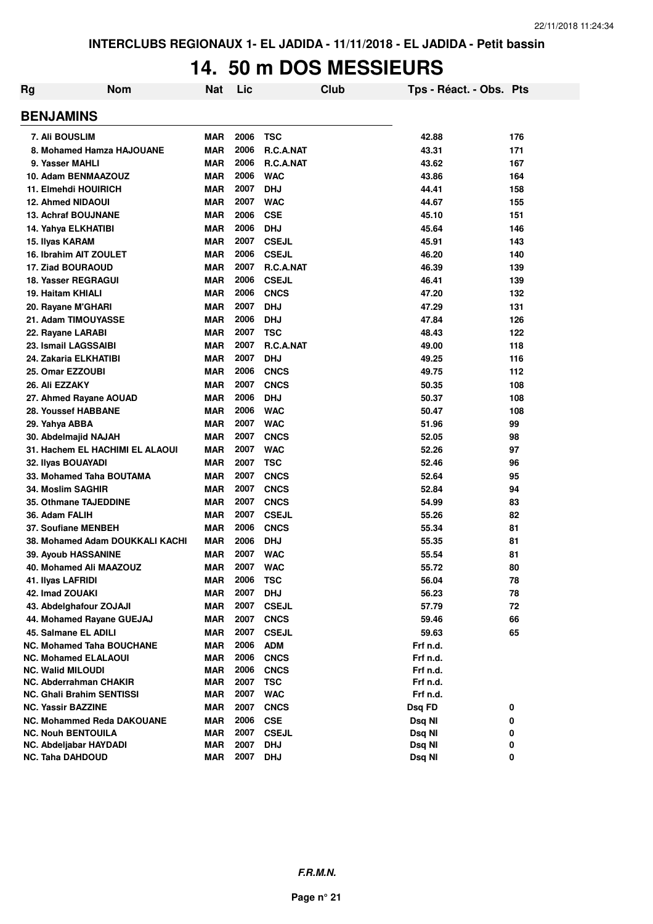#### **14. 50 m DOS MESSIEURS**

| Rg | <b>Nom</b>                        | <b>Nat</b> | Lic  |                  | Club | Tps - Réact. - Obs. Pts |     |
|----|-----------------------------------|------------|------|------------------|------|-------------------------|-----|
|    | <b>BENJAMINS</b>                  |            |      |                  |      |                         |     |
|    | <b>7. Ali BOUSLIM</b>             | <b>MAR</b> | 2006 | <b>TSC</b>       |      | 42.88                   | 176 |
|    | 8. Mohamed Hamza HAJOUANE         | <b>MAR</b> | 2006 | R.C.A.NAT        |      | 43.31                   | 171 |
|    | 9. Yasser MAHLI                   | <b>MAR</b> | 2006 | <b>R.C.A.NAT</b> |      | 43.62                   | 167 |
|    | 10. Adam BENMAAZOUZ               | <b>MAR</b> | 2006 | <b>WAC</b>       |      | 43.86                   | 164 |
|    | 11. Elmehdi HOUIRICH              | <b>MAR</b> | 2007 | <b>DHJ</b>       |      | 44.41                   | 158 |
|    | <b>12. Ahmed NIDAOUI</b>          | <b>MAR</b> | 2007 | <b>WAC</b>       |      | 44.67                   | 155 |
|    | <b>13. Achraf BOUJNANE</b>        | <b>MAR</b> | 2006 | <b>CSE</b>       |      | 45.10                   | 151 |
|    | 14. Yahya ELKHATIBI               | <b>MAR</b> | 2006 | <b>DHJ</b>       |      | 45.64                   | 146 |
|    | 15. Ilyas KARAM                   | <b>MAR</b> | 2007 | <b>CSEJL</b>     |      | 45.91                   | 143 |
|    | 16. Ibrahim AIT ZOULET            | <b>MAR</b> | 2006 | <b>CSEJL</b>     |      | 46.20                   | 140 |
|    | <b>17. Ziad BOURAOUD</b>          | <b>MAR</b> | 2007 | R.C.A.NAT        |      | 46.39                   | 139 |
|    | <b>18. Yasser REGRAGUI</b>        | <b>MAR</b> | 2006 | <b>CSEJL</b>     |      | 46.41                   | 139 |
|    | 19. Haitam KHIALI                 | <b>MAR</b> | 2006 | <b>CNCS</b>      |      | 47.20                   | 132 |
|    | 20. Rayane M'GHARI                | <b>MAR</b> | 2007 | <b>DHJ</b>       |      | 47.29                   | 131 |
|    | 21. Adam TIMOUYASSE               | <b>MAR</b> | 2006 | <b>DHJ</b>       |      | 47.84                   | 126 |
|    | 22. Rayane LARABI                 | <b>MAR</b> | 2007 | <b>TSC</b>       |      | 48.43                   | 122 |
|    | 23. Ismail LAGSSAIBI              | <b>MAR</b> | 2007 | R.C.A.NAT        |      | 49.00                   | 118 |
|    | 24. Zakaria ELKHATIBI             | <b>MAR</b> | 2007 | <b>DHJ</b>       |      | 49.25                   | 116 |
|    | 25. Omar EZZOUBI                  | <b>MAR</b> | 2006 | <b>CNCS</b>      |      | 49.75                   | 112 |
|    | 26. Ali EZZAKY                    | <b>MAR</b> | 2007 | <b>CNCS</b>      |      | 50.35                   | 108 |
|    | 27. Ahmed Rayane AOUAD            | <b>MAR</b> | 2006 | <b>DHJ</b>       |      | 50.37                   | 108 |
|    | 28. Youssef HABBANE               | <b>MAR</b> | 2006 | <b>WAC</b>       |      | 50.47                   | 108 |
|    | 29. Yahya ABBA                    | <b>MAR</b> | 2007 | <b>WAC</b>       |      | 51.96                   | 99  |
|    | 30. Abdelmajid NAJAH              | <b>MAR</b> | 2007 | <b>CNCS</b>      |      | 52.05                   | 98  |
|    | 31. Hachem EL HACHIMI EL ALAOUI   | <b>MAR</b> | 2007 | <b>WAC</b>       |      | 52.26                   | 97  |
|    | 32. Ilyas BOUAYADI                | <b>MAR</b> | 2007 | <b>TSC</b>       |      | 52.46                   | 96  |
|    | 33. Mohamed Taha BOUTAMA          | <b>MAR</b> | 2007 | <b>CNCS</b>      |      | 52.64                   | 95  |
|    | <b>34. Moslim SAGHIR</b>          | <b>MAR</b> | 2007 | <b>CNCS</b>      |      | 52.84                   | 94  |
|    | <b>35. Othmane TAJEDDINE</b>      | <b>MAR</b> | 2007 | <b>CNCS</b>      |      | 54.99                   | 83  |
|    | 36. Adam FALIH                    | <b>MAR</b> | 2007 | <b>CSEJL</b>     |      | 55.26                   | 82  |
|    | 37. Soufiane MENBEH               | <b>MAR</b> | 2006 | <b>CNCS</b>      |      | 55.34                   | 81  |
|    | 38. Mohamed Adam DOUKKALI KACHI   | <b>MAR</b> | 2006 | <b>DHJ</b>       |      | 55.35                   | 81  |
|    | 39. Ayoub HASSANINE               | <b>MAR</b> | 2007 | <b>WAC</b>       |      | 55.54                   | 81  |
|    | 40. Mohamed Ali MAAZOUZ           | MAR        | 2007 | <b>WAC</b>       |      | 55.72                   | 80  |
|    | 41. Ilyas LAFRIDI                 | MAR        | 2006 | <b>TSC</b>       |      | 56.04                   | 78  |
|    | 42. Imad ZOUAKI                   | <b>MAR</b> | 2007 | <b>DHJ</b>       |      | 56.23                   | 78  |
|    | 43. Abdelghafour ZOJAJI           | <b>MAR</b> | 2007 | <b>CSEJL</b>     |      | 57.79                   | 72  |
|    | 44. Mohamed Rayane GUEJAJ         | <b>MAR</b> | 2007 | <b>CNCS</b>      |      | 59.46                   | 66  |
|    | 45. Salmane EL ADILI              | <b>MAR</b> | 2007 | <b>CSEJL</b>     |      | 59.63                   | 65  |
|    | <b>NC. Mohamed Taha BOUCHANE</b>  | MAR        | 2006 | <b>ADM</b>       |      | Frf n.d.                |     |
|    | <b>NC. Mohamed ELALAOUI</b>       | <b>MAR</b> | 2006 | <b>CNCS</b>      |      | Frf n.d.                |     |
|    | <b>NC. Walid MILOUDI</b>          | <b>MAR</b> | 2006 | <b>CNCS</b>      |      | Frf n.d.                |     |
|    | NC. Abderrahman CHAKIR            | <b>MAR</b> | 2007 | <b>TSC</b>       |      | Frf n.d.                |     |
|    | NC. Ghali Brahim SENTISSI         | <b>MAR</b> | 2007 | <b>WAC</b>       |      | Frf n.d.                |     |
|    | <b>NC. Yassir BAZZINE</b>         | <b>MAR</b> | 2007 | <b>CNCS</b>      |      | Dsq FD                  | 0   |
|    | <b>NC. Mohammed Reda DAKOUANE</b> | <b>MAR</b> | 2006 | <b>CSE</b>       |      | Dsq NI                  | 0   |
|    | <b>NC. Nouh BENTOUILA</b>         | <b>MAR</b> | 2007 | <b>CSEJL</b>     |      | Dsq NI                  | 0   |
|    | NC. Abdeljabar HAYDADI            | <b>MAR</b> | 2007 | <b>DHJ</b>       |      | Dsq NI                  | 0   |
|    | <b>NC. Taha DAHDOUD</b>           | <b>MAR</b> | 2007 | <b>DHJ</b>       |      | Dsq NI                  | 0   |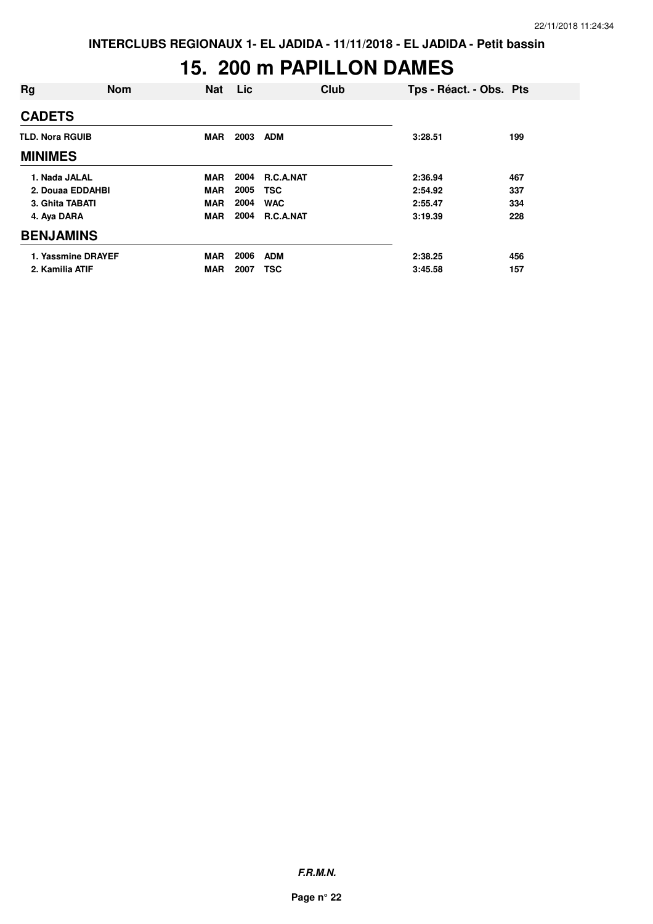## **15. 200 m PAPILLON DAMES**

| Rg                     | <b>Nom</b> | <b>Nat</b> | Lic  |            | Club | Tps - Réact. - Obs. Pts |     |
|------------------------|------------|------------|------|------------|------|-------------------------|-----|
| <b>CADETS</b>          |            |            |      |            |      |                         |     |
| <b>TLD. Nora RGUIB</b> |            | <b>MAR</b> | 2003 | <b>ADM</b> |      | 3:28.51                 | 199 |
| <b>MINIMES</b>         |            |            |      |            |      |                         |     |
| 1. Nada JALAL          |            | <b>MAR</b> | 2004 | R.C.A.NAT  |      | 2:36.94                 | 467 |
| 2. Douaa EDDAHBI       |            | <b>MAR</b> | 2005 | <b>TSC</b> |      | 2:54.92                 | 337 |
| 3. Ghita TABATI        |            | <b>MAR</b> | 2004 | <b>WAC</b> |      | 2:55.47                 | 334 |
| 4. Aya DARA            |            | <b>MAR</b> | 2004 | R.C.A.NAT  |      | 3:19.39                 | 228 |
| <b>BENJAMINS</b>       |            |            |      |            |      |                         |     |
| 1. Yassmine DRAYEF     |            | <b>MAR</b> | 2006 | <b>ADM</b> |      | 2:38.25                 | 456 |
| 2. Kamilia ATIF        |            | <b>MAR</b> | 2007 | <b>TSC</b> |      | 3:45.58                 | 157 |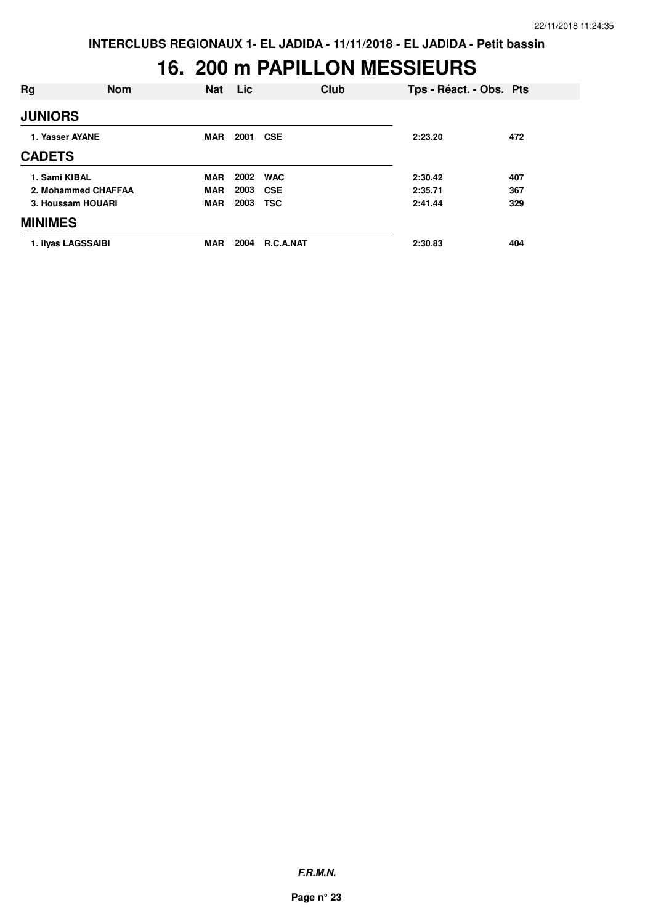#### **16. 200 m PAPILLON MESSIEURS**

| Rg                  | <b>Nom</b> | <b>Nat</b> | <b>Lic</b> |            | Club | Tps - Réact. - Obs. Pts |     |
|---------------------|------------|------------|------------|------------|------|-------------------------|-----|
| <b>JUNIORS</b>      |            |            |            |            |      |                         |     |
| 1. Yasser AYANE     |            | <b>MAR</b> | 2001       | <b>CSE</b> |      | 2:23.20                 | 472 |
| <b>CADETS</b>       |            |            |            |            |      |                         |     |
| 1. Sami KIBAL       |            | <b>MAR</b> | 2002       | <b>WAC</b> |      | 2:30.42                 | 407 |
| 2. Mohammed CHAFFAA |            | <b>MAR</b> | 2003       | <b>CSE</b> |      | 2:35.71                 | 367 |
| 3. Houssam HOUARI   |            | <b>MAR</b> | 2003       | <b>TSC</b> |      | 2:41.44                 | 329 |
| <b>MINIMES</b>      |            |            |            |            |      |                         |     |
| 1. ilvas LAGSSAIBI  |            | <b>MAR</b> | 2004       | R.C.A.NAT  |      | 2:30.83                 | 404 |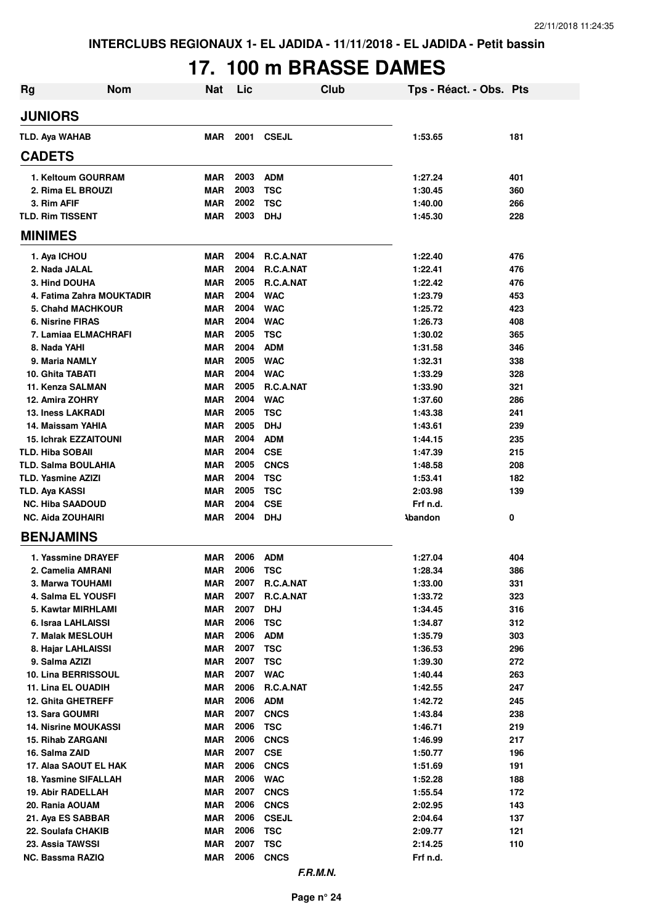# **17. 100 m BRASSE DAMES**

| Rg                           | <b>Nom</b> | <b>Nat</b> | Lic  | Club            | Tps - Réact. - Obs. Pts |     |
|------------------------------|------------|------------|------|-----------------|-------------------------|-----|
| <b>JUNIORS</b>               |            |            |      |                 |                         |     |
| <b>TLD. Aya WAHAB</b>        |            | <b>MAR</b> | 2001 | <b>CSEJL</b>    | 1:53.65                 | 181 |
| <b>CADETS</b>                |            |            |      |                 |                         |     |
| 1. Keltoum GOURRAM           |            | MAR        | 2003 | <b>ADM</b>      | 1:27.24                 | 401 |
| 2. Rima EL BROUZI            |            | <b>MAR</b> | 2003 | <b>TSC</b>      | 1:30.45                 | 360 |
| 3. Rim AFIF                  |            | <b>MAR</b> | 2002 | <b>TSC</b>      | 1:40.00                 | 266 |
| <b>TLD. Rim TISSENT</b>      |            | <b>MAR</b> | 2003 | <b>DHJ</b>      | 1:45.30                 | 228 |
| <b>MINIMES</b>               |            |            |      |                 |                         |     |
| 1. Aya ICHOU                 |            | <b>MAR</b> | 2004 | R.C.A.NAT       | 1:22.40                 | 476 |
| 2. Nada JALAL                |            | MAR        | 2004 | R.C.A.NAT       | 1:22.41                 | 476 |
| 3. Hind DOUHA                |            | <b>MAR</b> | 2005 | R.C.A.NAT       | 1:22.42                 | 476 |
| 4. Fatima Zahra MOUKTADIR    |            | MAR        | 2004 | <b>WAC</b>      | 1:23.79                 | 453 |
| <b>5. Chahd MACHKOUR</b>     |            | <b>MAR</b> | 2004 | <b>WAC</b>      | 1:25.72                 | 423 |
| <b>6. Nisrine FIRAS</b>      |            | <b>MAR</b> | 2004 | <b>WAC</b>      | 1:26.73                 | 408 |
| 7. Lamiaa ELMACHRAFI         |            | <b>MAR</b> | 2005 | <b>TSC</b>      | 1:30.02                 | 365 |
| 8. Nada YAHI                 |            | <b>MAR</b> | 2004 | <b>ADM</b>      | 1:31.58                 | 346 |
| 9. Maria NAMLY               |            | <b>MAR</b> | 2005 | <b>WAC</b>      | 1:32.31                 | 338 |
| 10. Ghita TABATI             |            | <b>MAR</b> | 2004 | <b>WAC</b>      | 1:33.29                 | 328 |
| 11. Kenza SALMAN             |            | <b>MAR</b> | 2005 | R.C.A.NAT       | 1:33.90                 | 321 |
| 12. Amira ZOHRY              |            | <b>MAR</b> | 2004 | <b>WAC</b>      | 1:37.60                 | 286 |
| <b>13. Iness LAKRADI</b>     |            | <b>MAR</b> | 2005 | <b>TSC</b>      | 1:43.38                 | 241 |
| 14. Maissam YAHIA            |            | <b>MAR</b> | 2005 | <b>DHJ</b>      | 1:43.61                 | 239 |
| <b>15. Ichrak EZZAITOUNI</b> |            | <b>MAR</b> | 2004 | <b>ADM</b>      | 1:44.15                 | 235 |
| <b>TLD. Hiba SOBAII</b>      |            | <b>MAR</b> | 2004 | <b>CSE</b>      | 1:47.39                 | 215 |
| TLD. Salma BOULAHIA          |            | <b>MAR</b> | 2005 | <b>CNCS</b>     | 1:48.58                 | 208 |
| <b>TLD. Yasmine AZIZI</b>    |            | <b>MAR</b> | 2004 | <b>TSC</b>      | 1:53.41                 | 182 |
| TLD. Aya KASSI               |            | <b>MAR</b> | 2005 | <b>TSC</b>      | 2:03.98                 | 139 |
| <b>NC. Hiba SAADOUD</b>      |            | <b>MAR</b> | 2004 | <b>CSE</b>      | Frf n.d.                |     |
| <b>NC. Aida ZOUHAIRI</b>     |            | <b>MAR</b> | 2004 | <b>DHJ</b>      | <b>Abandon</b>          | 0   |
| <b>BENJAMINS</b>             |            |            |      |                 |                         |     |
| 1. Yassmine DRAYEF           |            | MAR        | 2006 | <b>ADM</b>      | 1:27.04                 | 404 |
| 2. Camelia AMRANI            |            | <b>MAR</b> | 2006 | <b>TSC</b>      | 1:28.34                 | 386 |
| 3. Marwa TOUHAMI             |            | <b>MAR</b> | 2007 | R.C.A.NAT       | 1:33.00                 | 331 |
| 4. Salma EL YOUSFI           |            | <b>MAR</b> | 2007 | R.C.A.NAT       | 1:33.72                 | 323 |
| 5. Kawtar MIRHLAMI           |            | <b>MAR</b> | 2007 | <b>DHJ</b>      | 1:34.45                 | 316 |
| 6. Israa LAHLAISSI           |            | <b>MAR</b> | 2006 | <b>TSC</b>      | 1:34.87                 | 312 |
| 7. Malak MESLOUH             |            | <b>MAR</b> | 2006 | <b>ADM</b>      | 1:35.79                 | 303 |
| 8. Hajar LAHLAISSI           |            | <b>MAR</b> | 2007 | <b>TSC</b>      | 1:36.53                 | 296 |
| 9. Salma AZIZI               |            | <b>MAR</b> | 2007 | <b>TSC</b>      | 1:39.30                 | 272 |
| 10. Lina BERRISSOUL          |            | <b>MAR</b> | 2007 | <b>WAC</b>      | 1:40.44                 | 263 |
| 11. Lina EL OUADIH           |            | <b>MAR</b> | 2006 | R.C.A.NAT       | 1:42.55                 | 247 |
| <b>12. Ghita GHETREFF</b>    |            | <b>MAR</b> | 2006 | <b>ADM</b>      | 1:42.72                 | 245 |
| 13. Sara GOUMRI              |            | <b>MAR</b> | 2007 | <b>CNCS</b>     | 1:43.84                 | 238 |
| <b>14. Nisrine MOUKASSI</b>  |            | <b>MAR</b> | 2006 | <b>TSC</b>      | 1:46.71                 | 219 |
| 15. Rihab ZARGANI            |            | <b>MAR</b> | 2006 | <b>CNCS</b>     | 1:46.99                 | 217 |
| 16. Salma ZAID               |            | <b>MAR</b> | 2007 | <b>CSE</b>      | 1:50.77                 | 196 |
| 17. Alaa SAOUT EL HAK        |            | <b>MAR</b> | 2006 | <b>CNCS</b>     | 1:51.69                 | 191 |
| 18. Yasmine SIFALLAH         |            | <b>MAR</b> | 2006 | <b>WAC</b>      | 1:52.28                 | 188 |
| 19. Abir RADELLAH            |            | <b>MAR</b> | 2007 | <b>CNCS</b>     | 1:55.54                 | 172 |
| 20. Rania AOUAM              |            | <b>MAR</b> | 2006 | <b>CNCS</b>     | 2:02.95                 | 143 |
| 21. Aya ES SABBAR            |            | <b>MAR</b> | 2006 | <b>CSEJL</b>    | 2:04.64                 | 137 |
| 22. Soulafa CHAKIB           |            | <b>MAR</b> | 2006 | <b>TSC</b>      | 2:09.77                 | 121 |
| 23. Assia TAWSSI             |            | <b>MAR</b> | 2007 | <b>TSC</b>      | 2:14.25                 | 110 |
| NC. Bassma RAZIQ             |            | <b>MAR</b> | 2006 | <b>CNCS</b>     | Frf n.d.                |     |
|                              |            |            |      | <b>F.R.M.N.</b> |                         |     |

**Page n° 24**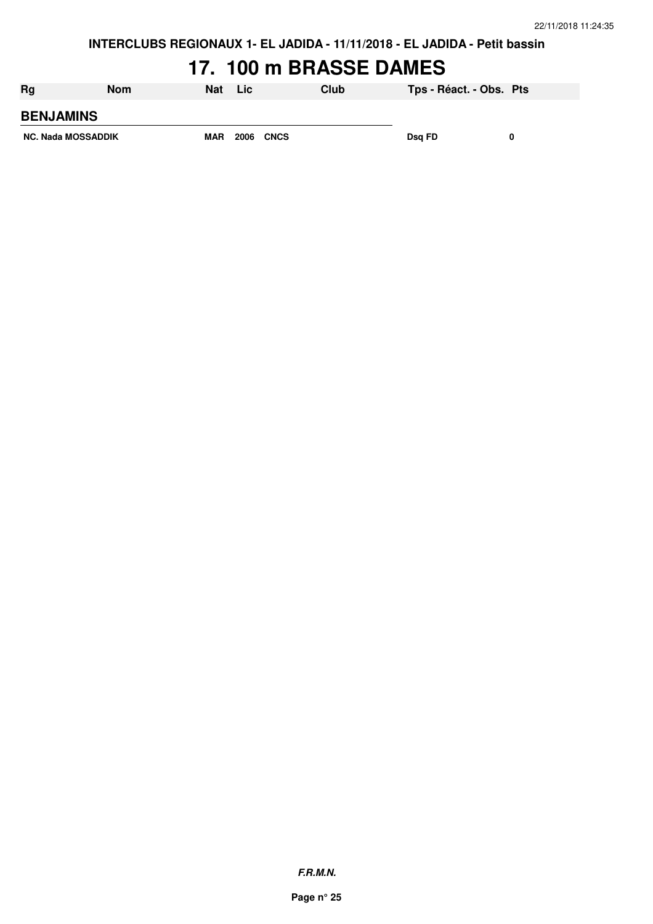## **17. 100 m BRASSE DAMES**

| Rg                        | Nom | <b>Nat</b> | Lic  |             | Club | Tps - Réact. - Obs. Pts |  |
|---------------------------|-----|------------|------|-------------|------|-------------------------|--|
| <b>BENJAMINS</b>          |     |            |      |             |      |                         |  |
| <b>NC. Nada MOSSADDIK</b> |     | <b>MAR</b> | 2006 | <b>CNCS</b> |      | Dsg FD                  |  |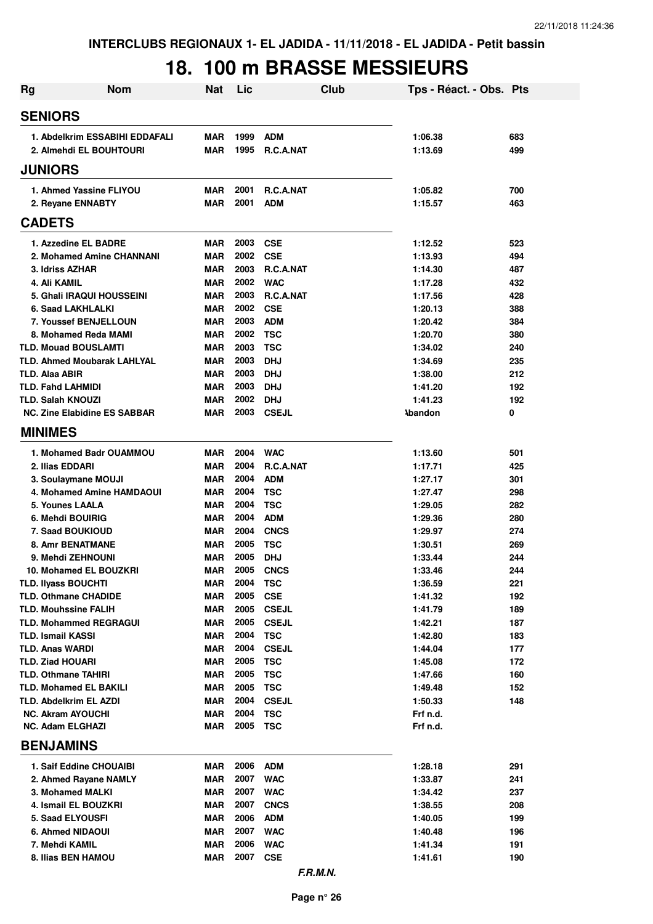## **18. 100 m BRASSE MESSIEURS**

| Rg                                        | <b>Nom</b>                                                      | <b>Nat</b>               | Lic          | Club                      | Tps - Réact. - Obs. Pts   |            |
|-------------------------------------------|-----------------------------------------------------------------|--------------------------|--------------|---------------------------|---------------------------|------------|
| <b>SENIORS</b>                            |                                                                 |                          |              |                           |                           |            |
| 1. Abdelkrim ESSABIHI EDDAFALI            |                                                                 | <b>MAR</b>               | 1999         | <b>ADM</b>                | 1:06.38                   | 683        |
| 2. Almehdi EL BOUHTOURI                   |                                                                 | <b>MAR</b>               | 1995         | <b>R.C.A.NAT</b>          | 1:13.69                   | 499        |
| <b>JUNIORS</b>                            |                                                                 |                          |              |                           |                           |            |
|                                           | 1. Ahmed Yassine FLIYOU                                         | <b>MAR</b>               | 2001         | <b>R.C.A.NAT</b>          | 1:05.82                   | 700        |
|                                           | 2. Reyane ENNABTY                                               | <b>MAR</b>               | 2001         | <b>ADM</b>                | 1:15.57                   | 463        |
| <b>CADETS</b>                             |                                                                 |                          |              |                           |                           |            |
|                                           | 1. Azzedine EL BADRE                                            | <b>MAR</b>               | 2003         | <b>CSE</b>                | 1:12.52                   | 523        |
|                                           | 2. Mohamed Amine CHANNANI                                       | <b>MAR</b>               | 2002         | <b>CSE</b>                | 1:13.93                   | 494        |
|                                           | 3. Idriss AZHAR                                                 | <b>MAR</b>               | 2003         | <b>R.C.A.NAT</b>          | 1:14.30                   | 487        |
| 4. Ali KAMIL                              |                                                                 | <b>MAR</b>               | 2002         | <b>WAC</b>                | 1:17.28                   | 432        |
|                                           | 5. Ghali IRAQUI HOUSSEINI                                       | <b>MAR</b>               | 2003         | <b>R.C.A.NAT</b>          | 1:17.56                   | 428        |
|                                           | 6. Saad LAKHLALKI                                               | <b>MAR</b>               | 2002         | <b>CSE</b>                | 1:20.13                   | 388        |
|                                           | 7. Youssef BENJELLOUN                                           | <b>MAR</b>               | 2003         | <b>ADM</b>                | 1:20.42                   | 384        |
|                                           | 8. Mohamed Reda MAMI                                            | <b>MAR</b>               | 2002         | <b>TSC</b>                | 1:20.70                   | 380        |
|                                           | <b>TLD. Mouad BOUSLAMTI</b>                                     | <b>MAR</b>               | 2003         | <b>TSC</b>                | 1:34.02                   | 240        |
|                                           | <b>TLD. Ahmed Moubarak LAHLYAL</b>                              | <b>MAR</b>               | 2003         | <b>DHJ</b>                | 1:34.69                   | 235        |
| <b>TLD. Alaa ABIR</b>                     |                                                                 | <b>MAR</b>               | 2003         | <b>DHJ</b>                | 1:38.00                   | 212        |
|                                           | <b>TLD. Fahd LAHMIDI</b>                                        | <b>MAR</b>               | 2003<br>2002 | <b>DHJ</b><br><b>DHJ</b>  | 1:41.20                   | 192<br>192 |
|                                           | <b>TLD. Salah KNOUZI</b><br><b>NC. Zine Elabidine ES SABBAR</b> | <b>MAR</b><br><b>MAR</b> | 2003         | <b>CSEJL</b>              | 1:41.23<br><b>Abandon</b> | 0          |
| <b>MINIMES</b>                            |                                                                 |                          |              |                           |                           |            |
|                                           |                                                                 |                          |              |                           |                           |            |
|                                           | 1. Mohamed Badr OUAMMOU                                         | <b>MAR</b>               | 2004         | <b>WAC</b>                | 1:13.60                   | 501        |
|                                           | 2. Ilias EDDARI                                                 | <b>MAR</b>               | 2004         | <b>R.C.A.NAT</b>          | 1:17.71                   | 425        |
|                                           | 3. Soulaymane MOUJI                                             | <b>MAR</b>               | 2004<br>2004 | <b>ADM</b>                | 1:27.17                   | 301        |
|                                           | <b>4. Mohamed Amine HAMDAOUI</b><br>5. Younes LAALA             | <b>MAR</b><br><b>MAR</b> | 2004         | <b>TSC</b><br><b>TSC</b>  | 1:27.47<br>1:29.05        | 298<br>282 |
|                                           | 6. Mehdi BOUIRIG                                                | <b>MAR</b>               | 2004         | <b>ADM</b>                | 1:29.36                   | 280        |
|                                           | 7. Saad BOUKIOUD                                                | <b>MAR</b>               | 2004         | <b>CNCS</b>               | 1:29.97                   | 274        |
|                                           | <b>8. Amr BENATMANE</b>                                         | <b>MAR</b>               | 2005         | <b>TSC</b>                | 1:30.51                   | 269        |
|                                           | 9. Mehdi ZEHNOUNI                                               | <b>MAR</b>               | 2005         | <b>DHJ</b>                | 1:33.44                   | 244        |
|                                           | 10. Mohamed EL BOUZKRI                                          | <b>MAR</b>               | 2005         | <b>CNCS</b>               | 1:33.46                   | 244        |
|                                           | <b>TLD. Ilyass BOUCHTI</b>                                      | <b>MAR</b>               | 2004         | <b>TSC</b>                | 1:36.59                   | 221        |
|                                           | <b>TLD. Othmane CHADIDE</b>                                     | <b>MAR</b>               | 2005         | <b>CSE</b>                | 1:41.32                   | 192        |
|                                           | <b>TLD. Mouhssine FALIH</b>                                     | <b>MAR</b>               | 2005         | <b>CSEJL</b>              | 1:41.79                   | 189        |
|                                           | <b>TLD. Mohammed REGRAGUI</b>                                   | <b>MAR</b>               | 2005         | <b>CSEJL</b>              | 1:42.21                   | 187        |
|                                           | <b>TLD. Ismail KASSI</b>                                        | <b>MAR</b>               | 2004         | <b>TSC</b>                | 1:42.80                   | 183        |
| <b>TLD. Anas WARDI</b>                    |                                                                 | <b>MAR</b>               | 2004         | <b>CSEJL</b>              | 1:44.04                   | 177        |
|                                           | <b>TLD. Ziad HOUARI</b>                                         | <b>MAR</b>               | 2005         | <b>TSC</b>                | 1:45.08                   | 172        |
|                                           | <b>TLD. Othmane TAHIRI</b>                                      | <b>MAR</b>               | 2005         | <b>TSC</b>                | 1:47.66                   | 160        |
|                                           | <b>TLD. Mohamed EL BAKILI</b>                                   | <b>MAR</b>               | 2005         | <b>TSC</b>                | 1:49.48                   | 152        |
|                                           | <b>TLD. Abdelkrim EL AZDI</b>                                   | <b>MAR</b>               | 2004         | <b>CSEJL</b>              | 1:50.33                   | 148        |
|                                           | <b>NC. Akram AYOUCHI</b><br><b>NC. Adam ELGHAZI</b>             | <b>MAR</b><br><b>MAR</b> | 2004<br>2005 | <b>TSC</b><br><b>TSC</b>  | Frf n.d.<br>Frf n.d.      |            |
|                                           | <b>BENJAMINS</b>                                                |                          |              |                           |                           |            |
|                                           |                                                                 |                          |              |                           |                           |            |
|                                           | 1. Saif Eddine CHOUAIBI                                         | MAR                      | 2006         | <b>ADM</b>                | 1:28.18                   | 291        |
| 2. Ahmed Rayane NAMLY<br>3. Mohamed MALKI |                                                                 | <b>MAR</b>               | 2007         | <b>WAC</b>                | 1:33.87                   | 241        |
|                                           | 4. Ismail EL BOUZKRI                                            | MAR<br><b>MAR</b>        | 2007<br>2007 | <b>WAC</b>                | 1:34.42                   | 237        |
|                                           | <b>5. Saad ELYOUSFI</b>                                         | <b>MAR</b>               | 2006         | <b>CNCS</b><br><b>ADM</b> | 1:38.55<br>1:40.05        | 208<br>199 |
|                                           | 6. Ahmed NIDAOUI                                                | <b>MAR</b>               | 2007         | <b>WAC</b>                | 1:40.48                   | 196        |
|                                           | 7. Mehdi KAMIL                                                  | MAR                      | 2006         | <b>WAC</b>                | 1:41.34                   | 191        |
|                                           | 8. Ilias BEN HAMOU                                              | <b>MAR</b>               | 2007         | <b>CSE</b>                | 1:41.61                   | 190        |
|                                           |                                                                 |                          |              |                           |                           |            |